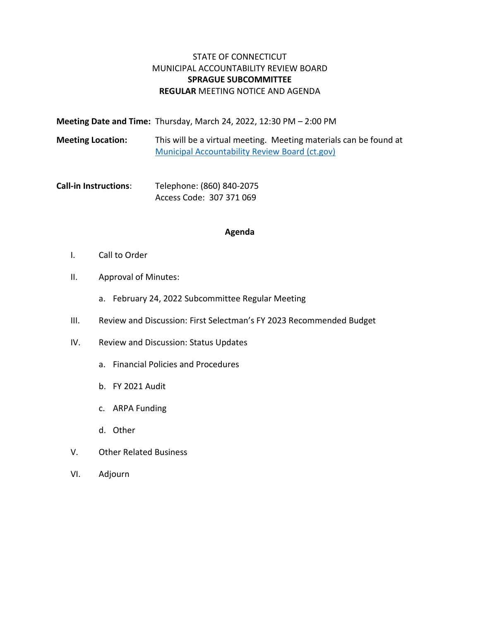# STATE OF CONNECTICUT MUNICIPAL ACCOUNTABILITY REVIEW BOARD **SPRAGUE SUBCOMMITTEE REGULAR** MEETING NOTICE AND AGENDA

|                          | Meeting Date and Time: Thursday, March 24, 2022, 12:30 PM - 2:00 PM                                                        |
|--------------------------|----------------------------------------------------------------------------------------------------------------------------|
| <b>Meeting Location:</b> | This will be a virtual meeting. Meeting materials can be found at<br><b>Municipal Accountability Review Board (ct.gov)</b> |

**Call-in Instructions**: Telephone: (860) 840-2075 Access Code: 307 371 069

### **Agenda**

- I. Call to Order
- II. Approval of Minutes:
	- a. February 24, 2022 Subcommittee Regular Meeting
- III. Review and Discussion: First Selectman's FY 2023 Recommended Budget
- IV. Review and Discussion: Status Updates
	- a. Financial Policies and Procedures
	- b. FY 2021 Audit
	- c. ARPA Funding
	- d. Other
- V. Other Related Business
- VI. Adjourn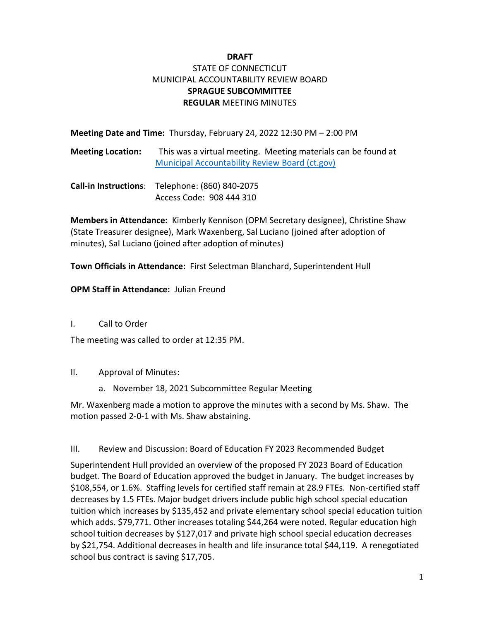# **DRAFT** STATE OF CONNECTICUT MUNICIPAL ACCOUNTABILITY REVIEW BOARD **SPRAGUE SUBCOMMITTEE REGULAR** MEETING MINUTES

**Meeting Date and Time:** Thursday, February 24, 2022 12:30 PM – 2:00 PM

**Meeting Location:** This was a virtual meeting. Meeting materials can be found at [Municipal Accountability Review Board \(ct.gov\)](https://portal.ct.gov/OPM/Marb/Municipal-Accountability-Review-Board)

| Call-in Instructions: Telephone: (860) 840-2075 |
|-------------------------------------------------|
| Access Code: 908 444 310                        |

**Members in Attendance:** Kimberly Kennison (OPM Secretary designee), Christine Shaw (State Treasurer designee), Mark Waxenberg, Sal Luciano (joined after adoption of minutes), Sal Luciano (joined after adoption of minutes)

**Town Officials in Attendance:** First Selectman Blanchard, Superintendent Hull

**OPM Staff in Attendance:** Julian Freund

I. Call to Order

The meeting was called to order at 12:35 PM.

- II. Approval of Minutes:
	- a. November 18, 2021 Subcommittee Regular Meeting

Mr. Waxenberg made a motion to approve the minutes with a second by Ms. Shaw. The motion passed 2-0-1 with Ms. Shaw abstaining.

# III. Review and Discussion: Board of Education FY 2023 Recommended Budget

Superintendent Hull provided an overview of the proposed FY 2023 Board of Education budget. The Board of Education approved the budget in January. The budget increases by \$108,554, or 1.6%. Staffing levels for certified staff remain at 28.9 FTEs. Non-certified staff decreases by 1.5 FTEs. Major budget drivers include public high school special education tuition which increases by \$135,452 and private elementary school special education tuition which adds. \$79,771. Other increases totaling \$44,264 were noted. Regular education high school tuition decreases by \$127,017 and private high school special education decreases by \$21,754. Additional decreases in health and life insurance total \$44,119. A renegotiated school bus contract is saving \$17,705.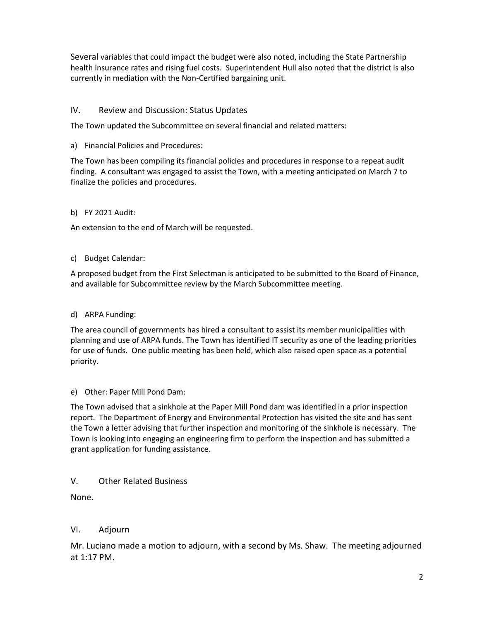Several variables that could impact the budget were also noted, including the State Partnership health insurance rates and rising fuel costs. Superintendent Hull also noted that the district is also currently in mediation with the Non-Certified bargaining unit.

### IV. Review and Discussion: Status Updates

The Town updated the Subcommittee on several financial and related matters:

### a) Financial Policies and Procedures:

The Town has been compiling its financial policies and procedures in response to a repeat audit finding. A consultant was engaged to assist the Town, with a meeting anticipated on March 7 to finalize the policies and procedures.

### b) FY 2021 Audit:

An extension to the end of March will be requested.

### c) Budget Calendar:

A proposed budget from the First Selectman is anticipated to be submitted to the Board of Finance, and available for Subcommittee review by the March Subcommittee meeting.

## d) ARPA Funding:

The area council of governments has hired a consultant to assist its member municipalities with planning and use of ARPA funds. The Town has identified IT security as one of the leading priorities for use of funds. One public meeting has been held, which also raised open space as a potential priority.

### e) Other: Paper Mill Pond Dam:

The Town advised that a sinkhole at the Paper Mill Pond dam was identified in a prior inspection report. The Department of Energy and Environmental Protection has visited the site and has sent the Town a letter advising that further inspection and monitoring of the sinkhole is necessary. The Town is looking into engaging an engineering firm to perform the inspection and has submitted a grant application for funding assistance.

# V. Other Related Business

None.

# VI. Adjourn

Mr. Luciano made a motion to adjourn, with a second by Ms. Shaw. The meeting adjourned at 1:17 PM.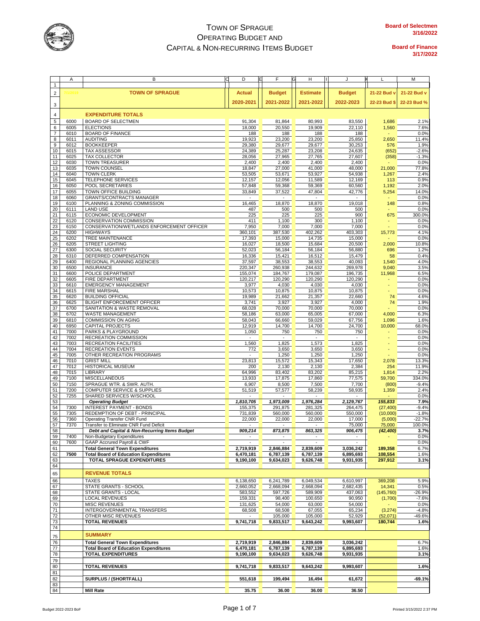

|                | Α    | В                                             | D<br>E                  | F                        | н               | J                        |              | M           |
|----------------|------|-----------------------------------------------|-------------------------|--------------------------|-----------------|--------------------------|--------------|-------------|
| $\mathbf{1}$   |      |                                               |                         |                          |                 |                          |              |             |
|                |      |                                               |                         |                          |                 |                          |              |             |
| $\overline{2}$ | 2015 | <b>TOWN OF SPRAGUE</b>                        | <b>Actual</b>           | <b>Budget</b>            | <b>Estimate</b> | <b>Budget</b>            | 21-22 Bud v  | 21-22 Bud v |
|                |      |                                               |                         |                          |                 |                          |              |             |
|                |      |                                               | 2020-2021               | 2021-2022                | 2021-2022       | 2022-2023                | 22-23 Bud \$ | 22-23 Bud % |
| 3              |      |                                               |                         |                          |                 |                          |              |             |
|                |      |                                               |                         |                          |                 |                          |              |             |
| $\overline{4}$ |      | <b>EXPENDITURE TOTALS</b>                     |                         |                          |                 |                          |              |             |
| 5              | 6000 | <b>BOARD OF SELECTMEN</b>                     | 91,304                  | 81,864                   | 80,993          | 83,550                   | 1,686        | 2.1%        |
| 6              | 6005 | <b>ELECTIONS</b>                              | 18,000                  | 20,550                   | 19,909          | 22,110                   | 1,560        | 7.6%        |
| $\overline{7}$ | 6010 | <b>BOARD OF FINANCE</b>                       |                         | 188                      | 188             | 188                      |              | 0.0%        |
|                |      |                                               | 188                     |                          |                 |                          |              |             |
| 8              | 6011 | <b>AUDITING</b>                               | 19,923                  | 23,200                   | 23,200          | 25,850                   | 2,650        | 11.4%       |
| 9              | 6012 | <b>BOOKKEEPER</b>                             | 29,380                  | 29,677                   | 29,677          | 30,253                   | 576          | 1.9%        |
| 10             | 6015 | <b>TAX ASSESSOR</b>                           | 24,389                  | 25,287                   | 23,208          | 24,635                   | (652)        | $-2.6%$     |
| 11             | 6025 | <b>TAX COLLECTOR</b>                          | 28,056                  | 27,965                   | 27,765          | 27,607                   | (358)        | $-1.3%$     |
|                |      |                                               |                         |                          |                 |                          |              |             |
| 12             | 6030 | <b>TOWN TREASURER</b>                         | 2,400                   | 2,400                    | 2,400           | 2,400                    |              | 0.0%        |
| 13             | 6035 | TOWN COUNSEL                                  | 18,847                  | 27,000                   | 41,000          | 48,000                   | 21,000       | 77.8%       |
| 14             | 6040 | <b>TOWN CLERK</b>                             | 53,505                  | 53,671                   | 53,927          | 54,938                   | 1,267        | 2.4%        |
| 15             | 6045 | TELEPHONE SERVICES                            | 12,157                  | 12,056                   | 11,589          | 12,169                   | 113          | 0.9%        |
| 16             | 6050 | POOL SECRETARIES                              | 57,848                  | 59,368                   | 59,369          | 60,560                   | 1,192        | 2.0%        |
|                |      |                                               |                         |                          |                 |                          |              |             |
| 17             | 6055 | TOWN OFFICE BUILDING                          | 33,849                  | 37,522                   | 47,804          | 42,776                   | 5,254        | 14.0%       |
| 18             | 6060 | <b>GRANTS/CONTRACTS MANAGER</b>               |                         |                          |                 |                          |              | 0.0%        |
| 19             | 6100 | PLANNING & ZONING COMMISSION                  | 16,465                  | 18,870                   | 18,870          | 19,018                   | 148          | 0.8%        |
| 20             | 6111 | <b>LAND USE</b>                               | 487                     | 500                      | 500             | 500                      |              | 0.0%        |
|                | 6115 |                                               |                         |                          |                 | 900                      |              | 300.0%      |
| 21             |      | ECONOMIC DEVELOPMENT                          | 225                     | 225                      | 225             |                          | 675          |             |
| 22             | 6120 | CONSERVATION COMMISSION                       | 411                     | 1,100                    | 300             | 1,100                    |              | 0.0%        |
| 23             | 6150 | CONSERVATION/WETLANDS ENFORCEMENT OFFICER     | 7,950                   | 7,000                    | 7,000           | 7,000                    |              | 0.0%        |
| 24             | 6200 | <b>HIGHWAYS</b>                               | 360,101                 | 387,530                  | 402,262         | 403,303                  | 15,773       | 4.1%        |
| 25             | 6202 | TREE MAINTENANCE                              | 17,393                  | 15,000                   | 14,735          | 15,000                   |              | 0.0%        |
| 26             | 6205 | <b>STREET LIGHTING</b>                        | 16,027                  | 18,500                   | 15,684          | 20,500                   | 2,000        | 10.8%       |
|                |      |                                               |                         |                          |                 |                          |              |             |
| 27             | 6300 | SOCIAL SECURITY                               | 52,023                  | 56,184                   | 56,184          | 56,880                   | 696          | 1.2%        |
| 28             | 6310 | DEFERRED COMPENSATION                         | 16,336                  | 15,421                   | 16,512          | 15,479                   | 58           | 0.4%        |
| 29             | 6400 | REGIONAL PLANNING AGENCIES                    | 37,597                  | 38,553                   | 38,553          | 40,093                   | 1,540        | 4.0%        |
| 30             | 6500 | <b>INSURANCE</b>                              | 220,347                 | 260,938                  | 244,632         | 269,978                  | 9,040        | 3.5%        |
| 31             | 6600 | POLICE DEPARTMENT                             | 155,074                 | 184,767                  | 179,087         | 196,735                  | 11,968       | 6.5%        |
|                |      |                                               |                         |                          |                 |                          |              |             |
| 32             | 6605 | FIRE DEPARTMENT                               | 120,217                 | 120,290                  | 120,290         | 120,290                  |              | 0.0%        |
| 33             | 6610 | <b>EMERGENCY MANAGEMENT</b>                   | 3,977                   | 4,030                    | 4,030           | 4,030                    |              | 0.0%        |
| 34             | 6615 | <b>FIRE MARSHAL</b>                           | 10,573                  | 10,875                   | 10,875          | 10,875                   |              | 0.0%        |
| 35             | 6620 | <b>BUILDING OFFICIAL</b>                      | 19,989                  | 21,662                   | 21,357          | 22,660                   | 74           | 4.6%        |
| 36             | 6625 | BLIGHT ENFORCEMENT OFFICER                    | 3,741                   |                          |                 | 4,000                    |              | 1.9%        |
|                |      |                                               |                         | 3,927                    | 3,927           |                          | 74           |             |
| 37             | 6700 | SANITATION & WASTE REMOVAL                    | 68,028                  | 70,000                   | 70,000          | 70,000                   |              | 0.0%        |
| 38             | 6702 | WASTE MANAGEMENT                              | 58,186                  | 63,000                   | 65,005          | 67,000                   | 4,000        | 6.3%        |
| 39             | 6810 | COMMISSION ON AGING                           | 58,043                  | 66,660                   | 59,029          | 67,756                   | 1,096        | 1.6%        |
| 40             | 6950 | CAPITAL PROJECTS                              | 12,919                  | 14,700                   | 14,700          | 24,700                   | 10,000       | 68.0%       |
|                |      |                                               |                         |                          |                 |                          |              |             |
| 41             | 7000 | PARKS & PLAYGROUND                            | 1,050                   | 750                      | 750             | 750                      |              | 0.0%        |
| 42             | 7002 | RECREATION COMMISSION                         |                         |                          |                 |                          |              | 0.0%        |
| 43             | 7003 | RECREATION FACILITIES                         | 1,560                   | 1,825                    | 1,573           | 1,825                    |              | 0.0%        |
| 44             | 7004 | <b>RECREATION EVENTS</b>                      | 772                     | 3,650                    | 3,650           | 3,650                    |              | 0.0%        |
| 45             | 7005 | OTHER RECREATION PROGRAMS                     | $\sim$                  | 1,250                    | 1,250           | 1,250                    |              | 0.0%        |
|                |      |                                               |                         |                          |                 |                          |              |             |
| 46             | 7010 | <b>GRIST MILL</b>                             | 23,813                  | 15,572                   | 15,343          | 17,650                   | 2,078        | 13.3%       |
| 47             | 7012 | <b>HISTORICAL MUSEUM</b>                      | 200                     | 2,130                    | 2,130           | 2,384                    | 254          | 11.9%       |
| 48             | 7015 | LIBRARY                                       | 64,996                  | 83,402                   | 83,202          | 85,215                   | 1,814        | 2.2%        |
| 49             | 7100 | <b>MISCELLANEOUS</b>                          | 13,933                  | 17,875                   | 17,860          | 77,575                   | 59,700       | 334.0%      |
| 50             | 7150 | SPRAGUE WTR. & SWR. AUTH.                     | 6,907                   | 8,500                    | 7,500           | 7,700                    | (800)        | $-9.4%$     |
| 51             | 7200 | <b>COMPUTER SERVICE &amp; SUPPLIES</b>        | 51,519                  | 57,577                   | 58,239          | 58,935                   | 1,359        | 2.4%        |
|                |      |                                               |                         |                          |                 |                          |              |             |
| 52             | 7255 | SHARED SERVICES W/SCHOOL                      | ä,                      |                          | ä,              | $\overline{\phantom{a}}$ |              | 0.0%        |
| 53             |      | <b>Operating Budget</b>                       | 1,810,705               | 1,973,009                | 1,976,284       | 2,129,767                | 155,833      | 7.9%        |
| 54             | 7300 | INTEREST PAYMENT - BONDS                      | 155,375                 | 291,875                  | 281,325         | 264,475                  | (27, 400)    | $-9.4%$     |
| 55             | 7305 | REDEMPTION OF DEBT - PRINCIPAL                | 731,839                 | 560,000                  | 560,000         | 550,000                  | (10,000)     | $-1.8%$     |
| 56             | 7360 | Operating Transfer CNR Fund                   | 22,000                  | 22,000                   | 22,000          | 17,000                   | (5,000)      | $-22.7%$    |
| 57             |      |                                               |                         |                          |                 |                          |              |             |
|                | 7370 | Transfer to Eliminate CNR Fund Deficit        | ٠                       |                          |                 | 75,000                   | 75,000       | 100.0%      |
| 58             |      | Debt and Capital & Non-Recurring Items Budget | 909,214                 | 873,875                  | 863,325         | 906,475                  | (42, 400)    | 3.7%        |
| 59             | 7400 | Non-Budgetary Expenditures                    |                         | $\overline{\phantom{a}}$ |                 |                          |              | 0.0%        |
| 60             | 7600 | GAAP Accrured Payroll & CWF                   | $\blacksquare$          | $\sim$                   |                 | $\blacksquare$           |              | 0.0%        |
| 61             |      | <b>Total General Town Expenditures</b>        | 2,719,919               | 2,846,884                | 2,839,609       | 3,036,242                | 189,358      | 6.7%        |
| 62             | 7500 | <b>Total Board of Education Expenditures</b>  | 6,470,181               | 6,787,139                | 6,787,139       | 6,895,693                | 108,554      | 1.6%        |
|                |      | <b>TOTAL SPRAGUE EXPENDITURES</b>             |                         |                          |                 |                          |              |             |
| 63             |      |                                               | $\overline{9,}190, 100$ | 9,634,023                | 9,626,748       | 9,931,935                | 297,912      | 3.1%        |
| 64             |      |                                               |                         |                          |                 |                          |              |             |
| 65             |      | <b>REVENUE TOTALS</b>                         |                         |                          |                 |                          |              |             |
|                |      |                                               |                         |                          |                 |                          |              |             |
| 66             |      | <b>TAXES</b>                                  | 6,138,650               | 6,241,789                | 6,049,534       | 6,610,997                | 369,208      | 5.9%        |
| 67             |      | STATE GRANTS - SCHOOL                         | 2,660,052               | 2,668,094                | 2,668,094       | 2,682,435                | 14,341       | 0.5%        |
| 68             |      | STATE GRANTS - LOCAL                          | 583,552                 | 597,726                  | 589,909         | 437,063                  | (145, 760)   | $-26.9%$    |
| 69             |      | <b>LOCAL REVENUES</b>                         | 159,331                 | 98,400                   | 100,650         | 90,950                   | (1,700)      | $-7.6%$     |
|                |      |                                               |                         |                          |                 |                          |              |             |
| 70             |      | <b>MISC REVENUES</b>                          | 131,625                 | 54,000                   | 63,000          | 54,000                   |              | 0.0%        |
| 71             |      | INTERGOVERNMENTAL TRANSFERS                   | 68,508                  | 68,508                   | 67,055          | 65,234                   | (3,274)      | $-4.8%$     |
| 72             |      | OTHER MISC REVENUES                           |                         | 105,000                  | 105,000         | 52,929                   | (52,071)     | -49.6%      |
| 73             |      | <b>TOTAL REVENUES</b>                         | 9,741,718               | 9,833,517                | 9,643,242       | 9,993,607                | 180,744      | 1.6%        |
| 74             |      |                                               |                         |                          |                 |                          |              |             |
|                |      |                                               |                         |                          |                 |                          |              |             |
| 75             |      | <b>SUMMARY</b>                                |                         |                          |                 |                          |              |             |
| 76             |      | <b>Total General Town Expenditures</b>        | 2,719,919               | 2,846,884                | 2,839,609       | 3,036,242                |              | 6.7%        |
|                |      |                                               |                         |                          |                 |                          |              |             |
| 77             |      | <b>Total Board of Education Expenditures</b>  | 6,470,181               | 6,787,139                | 6,787,139       | 6,895,693                |              | 1.6%        |
| 78             |      | <b>TOTAL EXPENDITURES</b>                     | 9,190,100               | 9,634,023                | 9,626,748       | 9,931,935                |              | 3.1%        |
| 79             |      |                                               |                         |                          |                 |                          |              |             |
| 80             |      | <b>TOTAL REVENUES</b>                         | 9,741,718               | 9,833,517                | 9,643,242       | 9,993,607                |              | 1.6%        |
|                |      |                                               |                         |                          |                 |                          |              |             |
| 81             |      |                                               |                         |                          |                 |                          |              |             |
| 82             |      | SURPLUS / (SHORTFALL)                         | 551,618                 | 199,494                  | 16,494          | 61,672                   |              | $-69.1%$    |
| 83             |      |                                               |                         |                          |                 |                          |              |             |
| 84             |      | <b>Mill Rate</b>                              | 35.75                   | 36.00                    | 36.00           | 36.50                    |              |             |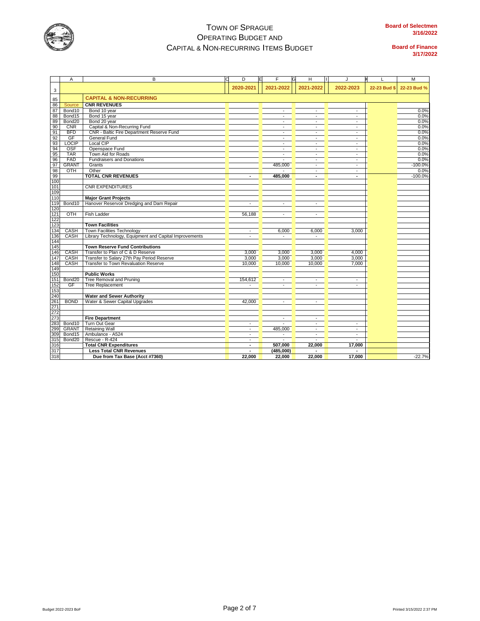

|            | Α                  | в                                                      | D              | F                        | н                        | J                        |              | M           |
|------------|--------------------|--------------------------------------------------------|----------------|--------------------------|--------------------------|--------------------------|--------------|-------------|
| 3          |                    |                                                        | 2020-2021      | 2021-2022                | 2021-2022                | 2022-2023                | 22-23 Bud \$ | 22-23 Bud % |
| 85         |                    | <b>CAPITAL &amp; NON-RECURRING</b>                     |                |                          |                          |                          |              |             |
| 86         | Source             | <b>CNR REVENUES</b>                                    |                |                          |                          |                          |              |             |
| 87         | Bond10             | Bond 10 year                                           |                | $\overline{a}$           | $\sim$                   | $\sim$                   |              | 0.0%        |
| 88         | Bond15             | Bond 15 year                                           |                | $\blacksquare$           | $\overline{\phantom{a}}$ | $\overline{\phantom{a}}$ |              | 0.0%        |
| 89         | Bond20             | Bond 20 year                                           |                | $\mathbf{r}$             | $\overline{\phantom{a}}$ | $\overline{\phantom{a}}$ |              | 0.0%        |
| 90         | <b>CNR</b>         | Capital & Non-Recurring Fund                           |                | $\overline{\phantom{a}}$ | $\overline{\phantom{a}}$ | $\overline{\phantom{a}}$ |              | 0.0%        |
| 91         | <b>BFD</b>         | CNR - Baltic Fire Department Reserve Fund              |                | $\blacksquare$           |                          |                          |              | 0.0%        |
| 92         | GF                 | General Fund                                           |                | $\overline{\phantom{a}}$ | ÷.                       | $\blacksquare$           |              | 0.0%        |
| 93         | LOCIP              | Local CIP                                              |                | $\omega$                 | $\sim$                   | $\blacksquare$           |              | 0.0%        |
| 94         | OSF                | Openspace Fund                                         |                | $\omega$                 | $\overline{a}$           | $\blacksquare$           |              | 0.0%        |
| 95         | <b>TAR</b>         | Town Aid for Roads                                     |                | $\sim$                   | $\sim$                   | $\overline{\phantom{a}}$ |              | 0.0%        |
| 96         | FAD                | <b>Fundraisers and Donations</b>                       |                |                          | $\overline{a}$           | $\sim$                   |              | 0.0%        |
| 97         | <b>GRANT</b>       | Grants                                                 |                | 485,000                  | $\sim$                   | $\blacksquare$           |              | $-100.0%$   |
| 98         | OTH                | Other                                                  |                |                          | $\overline{a}$           | $\sim$                   |              | 0.0%        |
| 99         |                    | <b>TOTAL CNR REVENUES</b>                              | ٠              | 485,000                  | ٠                        | ٠                        |              | $-100.0%$   |
| 100        |                    |                                                        |                |                          |                          |                          |              |             |
| 101        |                    | <b>CNR EXPENDITURES</b>                                |                |                          |                          |                          |              |             |
| 109        |                    |                                                        |                |                          |                          |                          |              |             |
| 110        |                    | <b>Major Grant Projects</b>                            |                |                          |                          |                          |              |             |
| 119        | Bond10             | Hanover Reservoir Dredging and Dam Repair              |                | $\blacksquare$           | $\blacksquare$           |                          |              |             |
| 120        |                    |                                                        |                |                          |                          |                          |              |             |
| 121        | OTH                | <b>Fish Ladder</b>                                     | 56,188         | $\overline{\phantom{a}}$ | $\sim$                   |                          |              |             |
| 122        |                    |                                                        |                |                          |                          |                          |              |             |
| 123        |                    | <b>Town Facilities</b>                                 |                |                          |                          |                          |              |             |
| 134        | CASH               | <b>Town Facilities Technology</b>                      | $\mathbf{r}$   | 6,000                    | 6,000                    | 3,000                    |              |             |
|            | CASH               | Library Technology, Equipment and Capital Improvements | $\sim$         | ш.                       | $\overline{a}$           |                          |              |             |
| 136<br>144 |                    |                                                        |                |                          |                          |                          |              |             |
| 145        |                    | <b>Town Reserve Fund Contributions</b>                 |                |                          |                          |                          |              |             |
| 146        | CASH               | Transfer to Plan of C & D Reserve                      | 3,000          | 3,000                    | 3,000                    | 4,000                    |              |             |
| 147        | CASH               | Transfer to Salary 27th Pay Period Reserve             | 3,000          | 3,000                    | 3,000                    | 3,000                    |              |             |
| 148        | <b>CASH</b>        | Transfer to Town Revaluation Reserve                   | 10,000         | 10,000                   | 10,000                   | 7,000                    |              |             |
| 149        |                    |                                                        |                |                          |                          |                          |              |             |
| 150        |                    | <b>Public Works</b>                                    |                |                          |                          |                          |              |             |
| 151        | Bond20             | Tree Removal and Pruning                               | 154,612        | $\blacksquare$           | $\blacksquare$           | $\overline{\phantom{a}}$ |              |             |
| 152        | GF                 | <b>Tree Replacement</b>                                | $\overline{a}$ |                          | ÷.                       | $\overline{\phantom{a}}$ |              |             |
| 153        |                    |                                                        |                |                          |                          |                          |              |             |
| 240        |                    | <b>Water and Sewer Authority</b>                       |                |                          |                          |                          |              |             |
| 261        | <b>BOND</b>        | Water & Sewer Capital Upgrades                         | 42,000         | $\overline{a}$           | ÷.                       |                          |              |             |
| 271        |                    |                                                        |                |                          |                          |                          |              |             |
| 272        |                    |                                                        |                |                          |                          |                          |              |             |
| 273        |                    | <b>Fire Department</b>                                 |                | $\omega$                 | $\sim$                   |                          |              |             |
| 283        | Bond10             | Turn Out Gear                                          |                |                          |                          |                          |              |             |
| 299        | <b>GRANT</b>       | <b>Retaining Wall</b>                                  | $\sim$         | 485,000                  | $\sim$                   | $\blacksquare$           |              |             |
| 309        | Bond15             | Ambulance - A524                                       | $\sim$         | $\sim$                   | $\overline{\phantom{a}}$ | $\overline{\phantom{a}}$ |              |             |
| 315        | Bond <sub>20</sub> | Rescue - R-424                                         | $\blacksquare$ |                          |                          |                          |              |             |
| 316        |                    | <b>Total CNR Expenditures</b>                          |                | 507,000                  | 22,000                   | 17,000                   |              |             |
| 317        |                    | <b>Less Total CNR Revenues</b>                         | $\blacksquare$ | (485,000)                |                          | $\overline{\phantom{a}}$ |              |             |
| 318        |                    | Due from Tax Base (Acct #7360)                         | 22,000         | 22,000                   | 22,000                   | 17.000                   |              | $-22.7%$    |
|            |                    |                                                        |                |                          |                          |                          |              |             |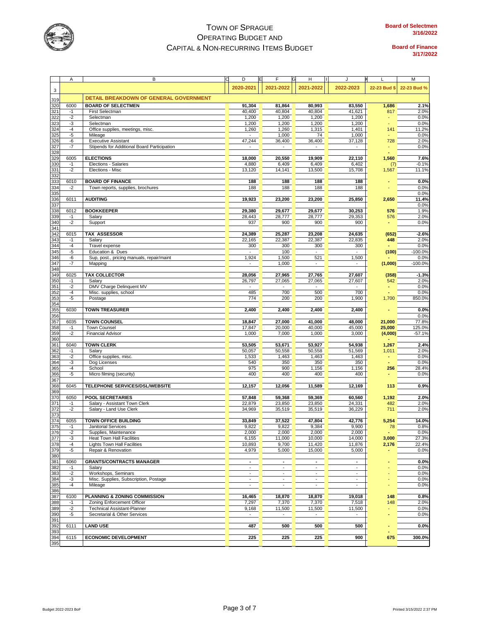

|            | Α            | в                                                        | D<br>E                               | F                        | н                        | J                                                    | L            | М             |
|------------|--------------|----------------------------------------------------------|--------------------------------------|--------------------------|--------------------------|------------------------------------------------------|--------------|---------------|
|            |              |                                                          | 2020-2021                            | 2021-2022                | 2021-2022                | 2022-2023                                            | 22-23 Bud \$ | 22-23 Bud %   |
| 3          |              |                                                          |                                      |                          |                          |                                                      |              |               |
| 319        |              | DETAIL BREAKDOWN OF GENERAL GOVERNMENT                   |                                      |                          |                          |                                                      |              |               |
| 320        | 6000         | <b>BOARD OF SELECTMEN</b>                                | 91,304                               | 81.864                   | 80.993                   | 83,550                                               | 1,686        | 2.1%          |
| 321        | $-1$         | First Selectman                                          | 40,400                               | 40,804                   | 40,804                   | 41,621                                               | 817          | 2.0%          |
| 322        | $-2$         | Selectman                                                | 1,200                                | 1,200                    | 1,200                    | 1,200                                                |              | 0.0%          |
| 323        | $-3$         | Selectman                                                | 1,200                                | 1,200                    | 1,200                    | 1,200                                                |              | 0.0%          |
| 324<br>325 | $-4$<br>$-5$ | Office supplies, meetings, misc.<br>Mileage              | 1,260<br>$\mathcal{L}_{\mathcal{A}}$ | 1,260<br>1,000           | 1,315<br>74              | 1,401<br>1,000                                       | 141          | 11.2%<br>0.0% |
| 326        | -6           | <b>Executive Assistant</b>                               | 47,244                               | 36,400                   | 36,400                   | 37,128                                               | 728          | 2.0%          |
| 327        | $-7$         | Stipends for Additional Board Participation              |                                      |                          |                          |                                                      |              | 0.0%          |
| 328        |              |                                                          |                                      |                          |                          |                                                      |              |               |
| 329        | 6005         | <b>ELECTIONS</b>                                         | 18,000                               | 20,550                   | 19,909                   | 22,110                                               | 1,560        | 7.6%          |
| 330        | $-1$         | Elections - Salaries                                     | 4,880                                | 6,409                    | 6,409                    | 6,402                                                | (7)          | $-0.1%$       |
| 331        | $-2$         | Elections - Misc                                         | 13,120                               | 14,141                   | 13,500                   | 15,708                                               | 1,567        | 11.1%         |
| 332        |              |                                                          |                                      |                          |                          |                                                      |              |               |
| 333        | 6010         | <b>BOARD OF FINANCE</b>                                  | 188                                  | 188                      | 188                      | 188                                                  |              | 0.0%          |
| 334        | $-2$         | Town reports, supplies, brochures                        | 188                                  | 188                      | 188                      | 188                                                  |              | 0.0%          |
| 335<br>336 | 6011         | <b>AUDITING</b>                                          | 19,923                               | 23,200                   | 23,200                   | 25,850                                               | 2,650        | 0.0%<br>11.4% |
| 337        |              |                                                          |                                      |                          |                          |                                                      |              | 0.0%          |
| 338        | 6012         | <b>BOOKKEEPER</b>                                        | 29,380                               | 29,677                   | 29,677                   | 30,253                                               | 576          | 1.9%          |
| 339        | $-1$         | Salary                                                   | 28,443                               | 28,777                   | 28,777                   | 29,353                                               | 576          | 2.0%          |
| 340        | $-2$         | Support                                                  | 937                                  | 900                      | 900                      | 900                                                  |              | 0.0%          |
| 341        |              |                                                          |                                      |                          |                          |                                                      |              |               |
| 342        | 6015         | TAX ASSESSOR                                             | 24,389                               | 25,287                   | 23,208                   | 24,635                                               | (652)        | $-2.6%$       |
| 343        | $-1$         | Salary                                                   | 22,165                               | 22,387                   | 22.387                   | 22,835                                               | 448          | 2.0%          |
| 344        | $-4$         | Travel expense                                           | 300                                  | 300                      | 300                      | 300                                                  |              | 0.0%          |
| 345        | $-5$         | Education & Dues                                         | $\overline{\phantom{a}}$             | 100                      | $\overline{\phantom{a}}$ |                                                      | (100)        | $-100.0%$     |
| 346<br>347 | -6           | Sup, post., pricing manuals, repair/maint                | 1,924                                | 1,500                    | 521                      | 1,500                                                |              | 0.0%          |
| 348        | $-7$         | Mapping                                                  | $\overline{\phantom{a}}$             | 1,000                    | $\overline{\phantom{a}}$ | $\overline{\phantom{a}}$                             | (1,000)      | $-100.0%$     |
| 349        | 6025         | <b>TAX COLLECTOR</b>                                     | 28,056                               | 27,965                   | 27,765                   | 27,607                                               | (358)        | $-1.3%$       |
| 350        | $-1$         | Salary                                                   | 26,797                               | 27,065                   | 27,065                   | 27,607                                               | 542          | 2.0%          |
| 351        | $-2$         | DMV Charge Delinquent MV                                 |                                      |                          |                          |                                                      |              | 0.0%          |
| 352        | $-4$         | Misc. supplies, school                                   | 485                                  | 700                      | 500                      | 700                                                  |              | 0.0%          |
| 353        | $-5$         | Postage                                                  | 774                                  | 200                      | 200                      | 1,900                                                | 1,700        | 850.0%        |
| 354        |              |                                                          |                                      |                          |                          |                                                      |              |               |
| 355        | 6030         | <b>TOWN TREASURER</b>                                    | 2,400                                | 2,400                    | 2,400                    | 2,400                                                |              | 0.0%          |
| 356        |              |                                                          |                                      |                          |                          |                                                      |              | 0.0%          |
| 357        | 6035         | <b>TOWN COUNSEL</b>                                      | 18,847                               | 27,000                   | 41,000                   | 48,000                                               | 21,000       | 77.8%         |
| 358        | $-1$         | <b>Town Counsel</b>                                      | 17,847                               | 20,000                   | 40,000                   | 45,000                                               | 25,000       | 125.0%        |
| 359<br>360 | $-2$         | <b>Financial Advisor</b>                                 | 1,000                                | 7,000                    | 1,000                    | 3,000                                                | (4,000)      | $-57.1%$      |
| 361        | 6040         | <b>TOWN CLERK</b>                                        | 53,505                               | 53,671                   | 53,927                   | 54,938                                               | 1,267        | 2.4%          |
| 362        | $-1$         | Salary                                                   | 50,057                               | 50,558                   | 50,558                   | 51,569                                               | 1,011        | 2.0%          |
| 363        | $-2$         | Office supplies, misc.                                   | 1,533                                | 1,463                    | 1,463                    | 1,463                                                |              | 0.0%          |
| 364        | $-3$         | Dog Licenses                                             | 540                                  | 350                      | 350                      | 350                                                  |              | 0.0%          |
| 365        | $-4$         | School                                                   | 975                                  | 900                      | 1,156                    | 1,156                                                | 256          | 28.4%         |
| 366        | $-5$         | Micro filming (security)                                 | 400                                  | 400                      | 400                      | 400                                                  |              | 0.0%          |
| 367        |              |                                                          |                                      |                          |                          |                                                      |              |               |
| 368        | 6045         | TELEPHONE SERVICES/DSL/WEBSITE                           | 12,157                               | 12,056                   | 11,589                   | 12,169                                               | 113          | 0.9%          |
| 369        |              |                                                          |                                      |                          |                          |                                                      |              |               |
| 370<br>371 | 6050<br>$-1$ | <b>POOL SECRETARIES</b><br>Salary - Assistant Town Clerk | 57,848<br>22,879                     | 59,368<br>23,850         | 59,369<br>23,850         | 60,560<br>24,331                                     | 1,192<br>482 | 2.0%<br>2.0%  |
| 372        | $-2$         | Salary - Land Use Clerk                                  | 34,969                               | 35,519                   | 35,519                   | 36,229                                               | 711          | 2.0%          |
| 373        |              |                                                          |                                      |                          |                          |                                                      |              |               |
| 374        | 6055         | <b>TOWN OFFICE BUILDING</b>                              | 33,849                               | 37,522                   | 47,804                   | 42,776                                               | 5,254        | 14.0%         |
| 375        | $-1$         | Janitorial Services                                      | 9,822                                | 9,822                    | 9,384                    | 9,900                                                | 78           | 0.8%          |
| 376        | $-2$         | Supplies, Maintenance                                    | 2,000                                | 2,000                    | 2,000                    | 2,000                                                |              | 0.0%          |
| 377        | $-3$         | Heat Town Hall Facilities                                | 6,155                                | 11,000                   | 10,000                   | 14,000                                               | 3,000        | 27.3%         |
| 378        | $-4$         | <b>Lights Town Hall Facilities</b>                       | 10,893                               | 9,700                    | 11,420                   | 11,876                                               | 2,176        | 22.4%         |
| 379        | $-5$         | Repair & Renovation                                      | 4,979                                | 5,000                    | 15,000                   | 5,000                                                |              | 0.0%          |
| 380        | 6060         |                                                          | $\blacksquare$                       | $\blacksquare$           | $\blacksquare$           |                                                      |              |               |
| 381<br>382 | $-1$         | <b>GRANTS/CONTRACTS MANAGER</b><br>Salary                | $\omega$                             | $\overline{\phantom{a}}$ | $\sim$                   | $\overline{\phantom{a}}$<br>$\overline{\phantom{a}}$ |              | 0.0%<br>0.0%  |
| 383        | $-2$         | Workshops, Seminars                                      | ä,                                   | $\mathbf{r}$             | ÷,                       | $\overline{\phantom{a}}$                             |              | 0.0%          |
| 384        | $-3$         | Misc. Supplies, Subscription, Postage                    | $\blacksquare$                       | $\blacksquare$           | $\overline{\phantom{a}}$ | $\blacksquare$                                       |              | 0.0%          |
| 385        | $-4$         | Mileage                                                  | $\overline{\phantom{a}}$             | $\overline{\phantom{a}}$ | $\overline{\phantom{a}}$ | $\overline{\phantom{a}}$                             |              | 0.0%          |
| 386        |              |                                                          |                                      |                          |                          |                                                      |              |               |
| 387        | 6100         | PLANNING & ZONING COMMISSION                             | 16,465                               | 18,870                   | 18,870                   | 19,018                                               | 148          | 0.8%          |
| 388        | $-1$         | Zoning Enforcement Officer                               | 7,297                                | 7,370                    | 7,370                    | 7,518                                                | 148          | 2.0%          |
| 389        | $-2$         | <b>Technical Assistant-Planner</b>                       | 9,168                                | 11,500                   | 11,500                   | 11,500                                               |              | 0.0%          |
| 390        | $-5$         | Secretarial & Other Services                             | $\blacksquare$                       | $\blacksquare$           | $\overline{\phantom{a}}$ |                                                      |              | 0.0%          |
| 391        |              |                                                          |                                      |                          |                          |                                                      |              |               |
| 392<br>393 | 6111         | <b>LAND USE</b>                                          | 487                                  | 500                      | 500                      | 500                                                  |              | 0.0%          |
| 394        | 6115         | <b>ECONOMIC DEVELOPMENT</b>                              | 225                                  | 225                      | 225                      | 900                                                  | 675          | 300.0%        |
| 395        |              |                                                          |                                      |                          |                          |                                                      |              |               |
|            |              |                                                          |                                      |                          |                          |                                                      |              |               |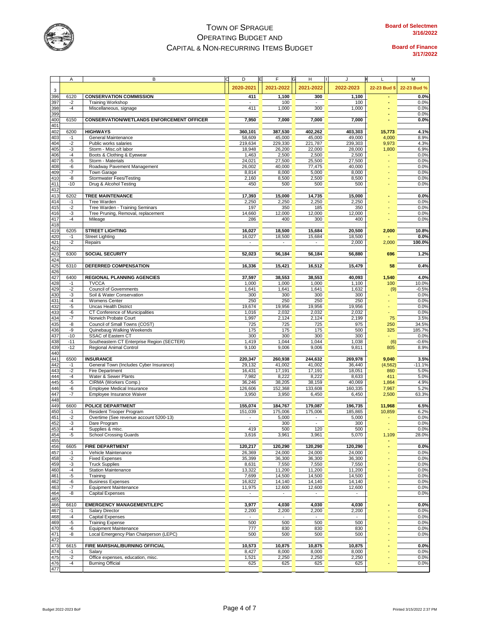

|                                 | Α            | В                                                          | D<br>E                      | F                                  | н                 | J                | L               | M                |
|---------------------------------|--------------|------------------------------------------------------------|-----------------------------|------------------------------------|-------------------|------------------|-----------------|------------------|
|                                 |              |                                                            | 2020-2021                   | 2021-2022                          | 2021-2022         | 2022-2023        | 22-23 Bud \$    | 22-23 Bud %      |
| $\mathsf 3$                     |              |                                                            |                             |                                    |                   |                  |                 |                  |
| 396                             | 6120         | <b>CONSERVATION COMMISSION</b>                             | 411                         | 1,100                              | 300               | 1,100            |                 | 0.0%             |
| 397                             | $-2$         | <b>Training Workshop</b>                                   | $\mathcal{L}_{\mathcal{A}}$ | 100                                | $\sim$            | 100              |                 | 0.0%             |
| 398                             | $-4$         | Miscellaneous, signage                                     | 411                         | 1,000                              | 300               | 1,000            |                 | 0.0%             |
| 399<br>400                      | 6150         | <b>CONSERVATION/WETLANDS ENFORCEMENT OFFICER</b>           | 7,950                       | 7,000                              | 7,000             | 7,000            |                 | 0.0%<br>0.0%     |
| 401                             |              |                                                            |                             |                                    |                   |                  |                 |                  |
| 402                             | 6200         | <b>HIGHWAYS</b>                                            | 360,101                     | 387.530                            | 402,262           | 403,303          | 15,773          | 4.1%             |
| 403                             | $-1$         | General Maintenance                                        | 58,609                      | 45,000                             | 45,000            | 49,000           | 4,000           | 8.9%             |
| 404                             | $-2$         | Public works salaries                                      | 219,634                     | 229,330                            | 221,787           | 239,303          | 9,973           | 4.3%             |
| 405                             | -3           | Storm - Misc.o/t labor                                     | 18,948                      | 26,200                             | 22,000            | 28,000           | 1,800           | 6.9%             |
| 406                             | $-4$         | Boots & Clothing & Eyewear                                 | 1,463                       | 2,500                              | 2,500             | 2,500            |                 | 0.0%             |
| 407                             | $-5$         | Storm - Materials                                          | 24,021                      | 27,500                             | 25,500            | 27,500           |                 | 0.0%             |
| 408                             | -6           | Roadway Pavement Management                                | 26,002                      | 40,000                             | 77,475            | 40,000           |                 | 0.0%             |
| 409                             | $-7$         | <b>Town Garage</b>                                         | 8,814                       | 8,000                              | 5,000             | 8,000            |                 | 0.0%             |
| 410                             | -8           | Stormwater Fees/Testing                                    | 2,160                       | 8,500                              | 2,500             | 8,500            |                 | 0.0%             |
| 411                             | $-10$        | Drug & Alcohol Testing                                     | 450                         | 500                                | 500               | 500              |                 | 0.0%             |
| 412                             |              |                                                            |                             |                                    |                   |                  |                 |                  |
| 413                             | 6202         | <b>TREE MAINTENANCE</b>                                    | 17,393                      | 15,000                             | 14,735            | 15,000           |                 | 0.0%             |
| 414                             | $-1$         | Tree Warden                                                | 2,250                       | 2,250                              | 2,250             | 2,250            |                 | 0.0%             |
| 415                             | $-2$         | Tree Warden - Training Seminars                            | 197                         | 350                                | 185               | 350              |                 | 0.0%             |
|                                 | -3           | Tree Pruning, Removal, replacement                         | 14,660                      | 12,000                             | 12,000            | 12,000           |                 | 0.0%             |
| 416<br>417<br>418<br>419        | $-4$         | Mileage                                                    | 286                         | 400                                | 300               | 400              |                 | 0.0%             |
|                                 |              |                                                            |                             |                                    |                   |                  |                 |                  |
| 420                             | 6205<br>$-1$ | <b>STREET LIGHTING</b><br><b>Street Lighting</b>           | 16,027                      | 18,500                             | 15,684            | 20,500           | 2,000           | 10.8%            |
| 421                             | $-2$         | Repairs                                                    | 16,027                      | 18,500<br>$\overline{\phantom{a}}$ | 15,684            | 18,500<br>2,000  | 2,000           | 0.0%<br>100.0%   |
| 422                             |              |                                                            |                             |                                    |                   |                  |                 |                  |
| 423                             | 6300         | <b>SOCIAL SECURITY</b>                                     | 52,023                      | 56,184                             | 56,184            | 56,880           | 696             | 1.2%             |
| 424                             |              |                                                            |                             |                                    |                   |                  |                 |                  |
| 425                             | 6310         | DEFERRED COMPENSATION                                      | 16,336                      | 15,421                             | 16,512            | 15,479           | 58              | 0.4%             |
| 426                             |              |                                                            |                             |                                    |                   |                  |                 |                  |
| 427                             | 6400         | <b>REGIONAL PLANNING AGENCIES</b>                          | 37,597                      | 38,553                             | 38,553            | 40,093           | 1,540           | 4.0%             |
| 428                             | $-1$         | <b>TVCCA</b>                                               | 1,000                       | 1,000                              | 1,000             | 1,100            | 100             | 10.0%            |
|                                 | $-2$         | <b>Council of Governments</b>                              | 1,641                       | 1,641                              | 1,641             | 1,632            | (9)             | $-0.5%$          |
| 429<br>430                      | -3           | Soil & Water Conservation                                  | 300                         | 300                                | 300               | 300              |                 | 0.0%             |
| 431                             | $-4$         | Womens Center                                              | 250                         | 250                                | 250               | 250              |                 | 0.0%             |
| 432                             | $-5$         | <b>Uncas Health District</b>                               | 19,674                      | 19,956                             | 19,956            | 19,956           |                 | 0.0%             |
| 433<br>434                      | -6           | CT Conference of Municipalities                            | 1,016                       | 2,032                              | 2,032             | 2,032            |                 | 0.0%             |
|                                 | -7           | Norwich Probate Court                                      | 1,997                       | 2,124                              | 2,124             | 2,199            | 75              | 3.5%             |
| 435                             | -8           | Council of Small Towns (COST)                              | 725                         | 725                                | 725               | 975              | 250             | 34.5%            |
| 436                             | -9           | Quinebaug Walking Weekends                                 | 175                         | 175                                | 175               | 500              | 325             | 185.7%           |
| 437                             | $-10$        | SSAC of Eastern CT                                         | 300                         | 300                                | 300               | 300              |                 | 0.0%             |
| 438                             | $-11$        | Southeastern CT Enterprise Region (SECTER)                 | 1,419                       | 1,044                              | 1,044             | 1,038            | (6)             | $-0.6%$          |
| 439                             | $-12$        | Regional Animal Control                                    | 9,100                       | 9,006                              | 9,006             | 9,811            | 805             | 8.9%             |
| 440                             |              |                                                            |                             |                                    |                   |                  |                 |                  |
| 441                             | 6500         | <b>INSURANCE</b>                                           | 220,347                     | 260,938                            | 244,632<br>41,002 | 269,978          | 9,040           | 3.5%             |
| $\frac{442}{443}$               | -1<br>-2     | General Town (Includes Cyber Insurance)<br>Fire Department | 29,132<br>16,431            | 41,002<br>17,191                   | 17,191            | 36,440<br>18,051 | (4, 562)<br>860 | $-11.1%$<br>5.0% |
| 444                             | $-4$         | Water & Sewer Plants                                       | 7,982                       | 8,222                              | 8,222             | 8,633            | 411             | 5.0%             |
| 445                             | -5           | CIRMA (Workers Comp.)                                      | 36,246                      | 38,205                             | 38,159            | 40,069           | 1,864           | 4.9%             |
| 446                             | -6           | <b>Employee Medical Insurance</b>                          | 126,606                     | 152,368                            | 133,608           | 160,335          | 7,967           | 5.2%             |
| 447                             | $-7$         | Employee Insurance Waiver                                  | 3,950                       | 3,950                              | 6,450             | 6,450            | 2,500           | 63.3%            |
| 448                             |              |                                                            |                             |                                    |                   |                  |                 |                  |
| 449                             | 6600         | POLICE DEPARTMENT                                          | 155,074                     | 184,767                            | 179,087           | 196,735          | 11,968          | 6.5%             |
| 450                             | $-1$         | Resident Trooper Program                                   | 151,039                     | 175,006                            | 175,006           | 185,865          | 10,859          | 6.2%             |
| 451                             | $-2$         | Overtime (See revenue account 5200-13)                     | $\sim$                      | 5,000                              |                   | 5,000            |                 | 0.0%             |
| 452                             | -3           | Dare Program                                               | $\sim$                      | 300                                | $\sim$            | 300              |                 | 0.0%             |
|                                 | -4           | Supplies & misc.                                           | 419                         | 500                                | 120               | 500              |                 | $0.0\%$          |
| 453<br>454<br>455               | -5           | <b>School Crossing Guards</b>                              | 3,616                       | 3,961                              | 3,961             | 5,070            | 1,109           | 28.0%            |
|                                 |              |                                                            |                             |                                    |                   |                  |                 |                  |
| 456<br>457                      | 6605         | <b>FIRE DEPARTMENT</b>                                     | 120,217                     | 120,290                            | 120,290           | 120,290          |                 | 0.0%             |
|                                 | $-1$         | Vehicle Maintenance                                        | 26,369                      | 24,000                             | 24,000            | 24,000           |                 | 0.0%             |
| 458<br>459                      | -2           | <b>Fixed Expenses</b>                                      | 35,399                      | 36,300                             | 36,300            | 36,300           |                 | 0.0%             |
|                                 | -3           | <b>Truck Supplies</b>                                      | 8,631                       | 7,550                              | 7,550             | 7,550            |                 | 0.0%             |
| 460<br>461                      | $-4$         | <b>Station Maintenance</b>                                 | 13,322                      | 11,200                             | 11,200            | 11,200           |                 | 0.0%<br>0.0%     |
|                                 | -5<br>-6     | Training<br><b>Business Expenses</b>                       | 7,699<br>16,822             | 14,500<br>14,140                   | 14,500<br>14,140  | 14,500<br>14,140 |                 | 0.0%             |
| 462<br>463                      | -7           | <b>Equipment Maintenance</b>                               | 11,975                      | 12,600                             | 12,600            | 12,600           |                 | 0.0%             |
|                                 | -8           | <b>Capital Expenses</b>                                    |                             |                                    |                   |                  |                 | 0.0%             |
| 464<br>465                      |              |                                                            |                             |                                    |                   |                  |                 |                  |
| 466                             | 6610         | <b>EMERGENCY MANAGEMENT/LEPC</b>                           | 3,977                       | 4,030                              | 4,030             | 4,030            |                 | 0.0%             |
| 467                             | $-1$         | <b>Salary Director</b>                                     | 2,200                       | 2,200                              | 2,200             | 2,200            |                 | 0.0%             |
| 468                             | $-4$         | <b>Capital Expenses</b>                                    | $\mathcal{L}_{\mathcal{A}}$ | ÷.                                 |                   |                  |                 | 0.0%             |
|                                 | -5           | <b>Training Expense</b>                                    | 500                         | 500                                | 500               | 500              |                 | 0.0%             |
|                                 | -6           | <b>Equipment Maintenance</b>                               | 777                         | 830                                | 830               | 830              |                 | 0.0%             |
| 469<br>470<br>471               | -8           | Local Emergency Plan Chairperson (LEPC)                    | 500                         | 500                                | 500               | 500              |                 | 0.0%             |
| 472<br>473<br>474<br>475<br>476 |              |                                                            |                             |                                    |                   |                  |                 |                  |
|                                 | 6615         | FIRE MARSHAL/BURNING OFFICIAL                              | 10,573                      | 10,875                             | 10,875            | 10,875           |                 | 0.0%             |
|                                 | $-1$         | Salary                                                     | 8,427                       | 8,000                              | 8,000             | 8,000            |                 | 0.0%             |
|                                 | $-2$         | Office expenses, education, misc.                          | 1,521                       | 2,250                              | 2,250             | 2,250            |                 | 0.0%             |
|                                 | $-4$         | <b>Burning Official</b>                                    | 625                         | 625                                | 625               | 625              |                 | 0.0%             |
| 477                             |              |                                                            |                             |                                    |                   |                  |                 |                  |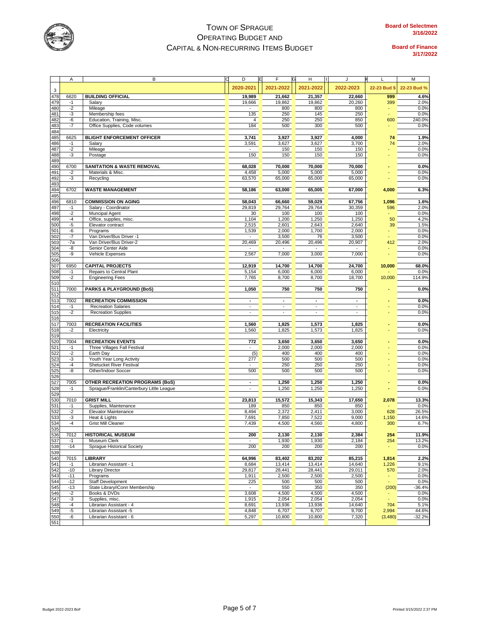

|                                        | Α            | В                                                                                   | D                                  | E | F<br>G           | н                        | J                | L            | M            |
|----------------------------------------|--------------|-------------------------------------------------------------------------------------|------------------------------------|---|------------------|--------------------------|------------------|--------------|--------------|
|                                        |              |                                                                                     | 2020-2021                          |   | 2021-2022        | 2021-2022                | 2022-2023        | 22-23 Bud \$ | 22-23 Bud %  |
| 3                                      |              |                                                                                     |                                    |   |                  |                          |                  |              |              |
| 478                                    | 6620         | <b>BUILDING OFFICIAL</b>                                                            | 19,989                             |   | 21,662           | 21,357                   | 22,660           | 999          | 4.6%         |
| 479                                    | $-1$         | Salary                                                                              | 19,666                             |   | 19,862           | 19,862                   | 20,260           | 399          | 2.0%         |
| 480<br>481                             | $-2$<br>-3   | Mileage<br>Membership fees                                                          | 135                                |   | 800<br>250       | 800<br>145               | 800<br>250       |              | 0.0%<br>0.0% |
| 482                                    | -6           | Education, Training, Misc.                                                          | $\overline{4}$                     |   | 250              | 250                      | 850              | 600          | 240.0%       |
| 483                                    | -7           | Office Supplies, Code volumes                                                       | 184                                |   | 500              | 300                      | 500              |              | 0.0%         |
| 484                                    |              |                                                                                     |                                    |   |                  |                          |                  |              |              |
| 485                                    | 6625         | <b>BLIGHT ENFORCEMENT OFFICER</b>                                                   | 3,741                              |   | 3,927            | 3,927                    | 4,000            | 74           | 1.9%         |
| 486                                    | $-1$         | Salary                                                                              | 3,591                              |   | 3,627            | 3,627                    | 3,700            | 74           | 2.0%         |
| 487                                    | $-2$         | Mileage                                                                             | $\Box$                             |   | 150              | 150                      | 150              |              | 0.0%         |
| 488                                    | -3           | Postage                                                                             | 150                                |   | 150              | 150                      | 150              |              | 0.0%         |
| 489                                    |              |                                                                                     |                                    |   |                  |                          |                  |              |              |
| 490                                    | 6700         | <b>SANITATION &amp; WASTE REMOVAL</b>                                               | 68,028                             |   | 70,000           | 70,000                   | 70,000           |              | 0.0%         |
| 491                                    | -2           | Materials & Misc.                                                                   | 4,458                              |   | 5,000            | 5,000                    | 5,000            |              | 0.0%         |
| 492                                    | -3           | Recycling                                                                           | 63,570                             |   | 65,000           | 65,000                   | 65,000           |              | 0.0%         |
| 493                                    |              |                                                                                     |                                    |   |                  |                          |                  |              |              |
| 494                                    | 6702         | <b>WASTE MANAGEMENT</b>                                                             | 58,186                             |   | 63,000           | 65,005                   | 67,000           | 4,000        | 6.3%         |
| 495<br>496                             | 6810         | <b>COMMISSION ON AGING</b>                                                          | 58,043                             |   | 66,660           | 59,029                   | 67,756           | 1,096        | 1.6%         |
| 497                                    | $-1$         | Salary - Coordinator                                                                | 29,819                             |   | 29,764           | 29,764                   | 30,359           | 596          | 2.0%         |
| 498                                    | -2           | Muncipal Agent                                                                      | 30                                 |   | 100              | 100                      | 100              |              | 0.0%         |
| 499                                    | -4           | Office, supplies, misc.                                                             | 1,104                              |   | 1,200            | 1,250                    | 1,250            | 50           | 4.2%         |
| 500                                    | -5           | Elevator contract                                                                   | 2,515                              |   | 2,601            | 2,643                    | 2,640            | 39           | 1.5%         |
| 501                                    | -6           | Programs                                                                            | 1,539                              |   | 2,000            | 1,700                    | 2,000            |              | 0.0%         |
| 502                                    | -7           | Van Driver/Bus Driver -1                                                            |                                    |   | 3,500            | 76                       | 3,500            |              | 0.0%         |
| 503                                    | $-7a$        | Van Driver/Bus Driver-2                                                             | 20,469                             |   | 20,496           | 20,496                   | 20,907           | 412          | 2.0%         |
| 504                                    | -8           | Senior Center Aide                                                                  |                                    |   |                  |                          |                  |              | 0.0%         |
| 505                                    | -9           | Vehicle Expenses                                                                    | 2,567                              |   | 7,000            | 3,000                    | 7,000            |              | 0.0%         |
| 506                                    |              |                                                                                     |                                    |   |                  |                          |                  |              |              |
| 507                                    | 6950         | <b>CAPITAL PROJECTS</b>                                                             | 12,919                             |   | 14,700           | 14,700                   | 24,700           | 10,000       | 68.0%        |
| 508                                    | -1           | Repairs to Central Plant                                                            | 5,154                              |   | 6,000            | 6,000                    | 6,000            |              | 0.0%         |
| 509                                    | $-2$         | <b>Engineering Fees</b>                                                             | 7,765                              |   | 8,700            | 8,700                    | 18,700           | 10,000       | 114.9%       |
| 510                                    |              |                                                                                     |                                    |   |                  |                          |                  |              |              |
| 511<br>512<br>513<br>515<br>515<br>516 | 7000         | <b>PARKS &amp; PLAYGROUND (BoS)</b>                                                 | 1,050                              |   | 750              | 750                      | 750              |              | 0.0%         |
|                                        | 7002         | <b>RECREATION COMMISSION</b>                                                        | $\overline{\phantom{a}}$           |   | $\blacksquare$   | $\overline{\phantom{a}}$ | $\blacksquare$   |              | 0.0%         |
|                                        | $-1$         | <b>Recreation Salaries</b>                                                          | $\overline{\phantom{a}}$           |   | $\blacksquare$   | $\sim$                   | $\blacksquare$   |              | 0.0%         |
|                                        | $-2$         | <b>Recreation Supplies</b>                                                          |                                    |   | ÷,               | $\overline{a}$           |                  |              | 0.0%         |
|                                        |              |                                                                                     |                                    |   |                  |                          |                  |              |              |
| 517                                    | 7003         | <b>RECREATION FACILITIES</b>                                                        | 1,560                              |   | 1,825            | 1,573                    | 1,825            |              | 0.0%         |
| 518                                    | $-2$         | Electricity                                                                         | 1,560                              |   | 1,825            | 1,573                    | 1,825            |              | 0.0%         |
| 519                                    |              |                                                                                     |                                    |   |                  |                          |                  |              |              |
| 520                                    | 7004         | <b>RECREATION EVENTS</b>                                                            | 772                                |   | 3,650            | 3,650                    | 3,650            |              | 0.0%         |
| 521                                    | $-1$         | Three Villages Fall Festival                                                        | $\sim$                             |   | 2,000            | 2,000                    | 2,000            |              | 0.0%         |
| 522                                    | $-2$         | Earth Day                                                                           | (5)                                |   | 400              | 400                      | 400              |              | 0.0%         |
| 523                                    | -3           | Youth Year Long Activity                                                            | 277                                |   | 500              | 500                      | 500              |              | 0.0%         |
| 524                                    | $-4$         | Shetucket River Festival                                                            |                                    |   | 250              | 250                      | 250              |              | 0.0%         |
| 525                                    | -8           | Other/Indoor Soccer                                                                 | 500                                |   | 500              | 500                      | 500              |              | 0.0%         |
| 526<br>527                             | 7005         |                                                                                     |                                    |   |                  | 1,250                    |                  |              |              |
| 528                                    | $-1$         | <b>OTHER RECREATION PROGRAMS (BoS)</b><br>Sprague/Franklin/Canterbury Little League | $\overline{\phantom{a}}$<br>$\sim$ |   | 1,250<br>1,250   | 1,250                    | 1,250<br>1,250   |              | 0.0%<br>0.0% |
| 529                                    |              |                                                                                     |                                    |   |                  |                          |                  |              |              |
| 530                                    | 7010         | <b>GRIST MILL</b>                                                                   | 23,813                             |   | 15,572           | 15,343                   | 17,650           | 2,078        | 13.3%        |
| 531                                    | -1           | Supplies, Maintenance                                                               | 189                                |   | 850              | 850                      | 850              |              | 0.0%         |
| 532                                    | $-2$         | Elevator Maintenance                                                                | 8,494                              |   | 2,372            | 2,411                    | 3,000            | 628          | 26.5%        |
| 533                                    | -3           | Heat & Lights                                                                       | 7,691                              |   | 7,850            | 7,522                    | 9,000            | 1,150        | 14.6%        |
|                                        | $-4$         | <b>Grist Mill Cleaner</b>                                                           | 7,439                              |   | 4,500            | 4,560                    | 4,800            | 300          | 6.7%         |
|                                        |              |                                                                                     |                                    |   |                  |                          |                  |              |              |
| <u>ಟಿ  ಟ್ಟಿ  ಚ್ಛ</u>                   | 7012         | <b>HISTORICAL MUSEUM</b>                                                            | 200                                |   | 2,130            | 2,130                    | 2,384            | 254          | 11.9%        |
|                                        | $-1$         | Museum Clerk                                                                        |                                    |   | 1,930            | 1,930                    | 2,184            | 254          | 13.2%        |
|                                        | $-14$        | Sprague Historical Society                                                          | 200                                |   | 200              | 200                      | 200              |              | 0.0%         |
| 539<br>540                             |              |                                                                                     |                                    |   |                  |                          |                  |              |              |
|                                        | 7015<br>$-1$ | <b>LIBRARY</b><br>Librarian Assistant - 1                                           | 64,996<br>8,684                    |   | 83,402<br>13,414 | 83,202<br>13,414         | 85,215<br>14,640 | 1,814        | 2.2%<br>9.1% |
| 541<br>542                             | $-10$        | <b>Library Director</b>                                                             | 29,817                             |   | 28,441           | 28,441                   | 29,011           | 1,226<br>570 | 2.0%         |
| 543                                    | $-11$        | Programs                                                                            | 1,911                              |   | 2,500            | 2,500                    | 2,500            |              | 0.0%         |
| 544                                    | $-12$        | <b>Staff Development</b>                                                            | 225                                |   | 500              | 500                      | 500              |              | 0.0%         |
| 545                                    | $-13$        | State Library/iConn Membership                                                      | $\blacksquare$                     |   | 550              | 350                      | 350              | (200)        | $-36.4%$     |
| 546                                    | -2           | Books & DVDs                                                                        | 3,608                              |   | 4,500            | 4,500                    | 4,500            |              | 0.0%         |
| 547                                    | -3           | Supplies, misc.                                                                     | 1,915                              |   | 2,054            | 2,054                    | 2,054            |              | 0.0%         |
| 548                                    | -4           | Librarian Assistant - 4                                                             | 8,691                              |   | 13,936           | 13,936                   | 14,640           | 704          | 5.1%         |
| 549                                    | -5           | Librarian Assistant -5                                                              | 4,848                              |   | 6,707            | 6,707                    | 9,700            | 2,994        | 44.6%        |
| 550                                    | -6           | Librarian Assistant - 6                                                             | 5,297                              |   | 10,800           | 10,800                   | 7,320            | (3,480)      | $-32.2%$     |
| 551                                    |              |                                                                                     |                                    |   |                  |                          |                  |              |              |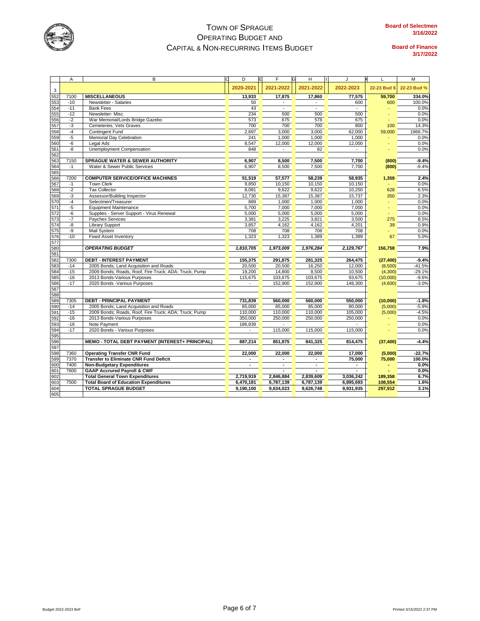

| 2020-2021<br>2021-2022<br>2021-2022<br>2022-2023<br>22-23 Bud \$<br>3<br>552<br><b>MISCELLANEOUS</b><br>13,933<br>17,875<br>17,860<br>59,700<br>7100<br>77,575<br>553<br>$-10$<br>Newsletter - Salaries<br>50<br>600<br>600<br>554<br>$-11$<br><b>Bank Fees</b><br>43<br>555<br>234<br>500<br>500<br>500<br>$-12$<br>Newsletter-Misc.<br>556<br>$-2$<br>War Memorial/Lords Bridge Gazebo<br>573<br>675<br>578<br>675<br>557<br>$-3$<br>Cemeteries, Vets Graves<br>700<br>700<br>700<br>800<br>100<br>558<br>$-4$<br>Contingent Fund<br>2,697<br>3,000<br>3,000<br>62,000<br>59,000<br>559<br>$-5$<br>Memorial Day Celebration<br>241<br>1,000<br>1,000<br>1,000<br>560<br>-6<br>8,547<br>12,000<br>Legal Ads<br>12,000<br>12,000<br>561<br>Unemployment Compensation<br>-8<br>848<br>82<br>562<br>563<br><b>SPRAGUE WATER &amp; SEWER AUTHORITY</b><br>8,500<br>7,500<br>7150<br>6,907<br>7,700<br>(800)<br>564<br>Water & Sewer Public Services<br>6,907<br>8,500<br>7,500<br>7,700<br>(800)<br>$-1$<br>565<br>566<br><b>COMPUTER SERVICE/OFFICE MACHINES</b><br>51,519<br>57,577<br>58,239<br>58,935<br>7200<br>1,359<br>567<br>$-1$<br><b>Town Clerk</b><br>9,850<br>10,150<br>10,150<br>10,150<br>568<br>$-2$<br><b>Tax Collector</b><br>8,081<br>9,622<br>9,622<br>10,250<br>628<br>569<br>$-3$<br>Assessor/Building Inspector<br>12,730<br>15,387<br>15,387<br>15,737<br>350<br>570<br>Selectmen/Treasurer<br>$-4$<br>889<br>1,000<br>1,000<br>1,000<br>571<br>$-5$<br><b>Equipment Maintenance</b><br>5,700<br>7,000<br>7,000<br>7,000<br>572<br>Supplies - Server Support - Virus Renewal<br>5,000<br>-6<br>5,000<br>5,000<br>5,000<br>573<br>$-7$<br>Paychex Services<br>3,381<br>3,225<br>3,821<br>3,500<br>275<br>574<br><b>Library Support</b><br>-8<br>3,857<br>4,162<br>4,162<br>4,201<br>39<br>575<br>$-9$<br>Mail System<br>708<br>708<br>708<br>708<br>576<br>$-10$<br>1,323<br>1,323<br>1,389<br>1,389<br><b>Fixed Asset Inventory</b><br>67<br>577<br>580<br><b>OPERATING BUDGET</b><br>1,810,705<br>1,973,009<br>1,976,284<br>2,129,767<br>156.758<br>581<br>582<br><b>DEBT - INTEREST PAYMENT</b><br>155,375<br>281,325<br>7300<br>291,875<br>264,475<br>(27, 400)<br>583<br>20,500<br>20,500<br>16,250<br>12,000<br>$-14$<br>2005 Bonds; Land Acquisition and Roads<br>(8,500)<br>584<br>2009 Bonds; Roads, Roof, Fire Truck; ADA; Truck; Pump<br>$-15$<br>19,200<br>14,800<br>8,500<br>10,500<br>(4,300)<br>585<br>$-16$<br>2013 Bonds-Various Purposes<br>115,675<br>103,675<br>103,675<br>93,675<br>(10,000)<br>586<br>2020 Bonds - Various Purposes<br>$-17$<br>152,900<br>152,900<br>148,300<br>(4,600)<br>$\blacksquare$<br>587<br>588<br>589<br><b>DEBT - PRINCIPAL PAYMENT</b><br>560,000<br>7305<br>731,839<br>560,000<br>550.000<br>(10,000)<br>590<br>2005 Bonds; Land Acquisition and Roads<br>85,000<br>85,000<br>$-14$<br>85,000<br>80,000<br>(5,000)<br>591<br>$-15$<br>2009 Bonds; Roads, Roof, Fire Truck; ADA; Truck; Pump<br>110,000<br>110,000<br>110,000<br>105,000<br>(5,000)<br>592<br>250,000<br>$-16$<br>2013 Bonds-Various Purposes<br>350,000<br>250,000<br>250,000<br>593<br>Note Payment<br>$-16$<br>186,839<br>594<br>2020 Bonds - Various Purposes<br>$-17$<br>115,000<br>115,000<br>115,000<br>595<br>596<br>887.214<br>841,325<br>MEMO - TOTAL DEBT PAYMENT (INTEREST+ PRINCIPAL)<br>851,875<br>814,475<br>(37, 400)<br>597<br>598<br><b>Operating Transfer CNR Fund</b><br>22,000<br>22,000<br>22,000<br>7360<br>17,000<br>(5,000)<br><b>Transfer to Eliminate CNR Fund Deficit</b><br>599<br>7370<br>75,000<br>75,000<br>٠<br>$\blacksquare$<br>600<br>7400<br><b>Non-Budgetary Expenditures</b><br>601<br>7600<br><b>GAAP Accrured Payroll &amp; CWF</b><br>602<br><b>Total General Town Expenditures</b><br>2,719,919<br>2,846,884<br>2,839,609<br>3,036,242<br>189,358<br>603<br><b>Total Board of Education Expenditures</b><br>7500<br>6,470,181<br>6,787,139<br>6,895,693<br>6,787,139<br>108,554 |     | Α | B                           | IЕ<br>D   | F         | н<br>G    | J         | L       | M           |
|------------------------------------------------------------------------------------------------------------------------------------------------------------------------------------------------------------------------------------------------------------------------------------------------------------------------------------------------------------------------------------------------------------------------------------------------------------------------------------------------------------------------------------------------------------------------------------------------------------------------------------------------------------------------------------------------------------------------------------------------------------------------------------------------------------------------------------------------------------------------------------------------------------------------------------------------------------------------------------------------------------------------------------------------------------------------------------------------------------------------------------------------------------------------------------------------------------------------------------------------------------------------------------------------------------------------------------------------------------------------------------------------------------------------------------------------------------------------------------------------------------------------------------------------------------------------------------------------------------------------------------------------------------------------------------------------------------------------------------------------------------------------------------------------------------------------------------------------------------------------------------------------------------------------------------------------------------------------------------------------------------------------------------------------------------------------------------------------------------------------------------------------------------------------------------------------------------------------------------------------------------------------------------------------------------------------------------------------------------------------------------------------------------------------------------------------------------------------------------------------------------------------------------------------------------------------------------------------------------------------------------------------------------------------------------------------------------------------------------------------------------------------------------------------------------------------------------------------------------------------------------------------------------------------------------------------------------------------------------------------------------------------------------------------------------------------------------------------------------------------------------------------------------------------------------------------------------------------------------------------------------------------------------------------------------------------------------------------------------------------------------------------------------------------------------------------------------------------------------------------------------------------------------------------------------------------------------------------------------------------------------------------------------------------------------------------------------------------------------------------------------------------------------------------------------------------------------------------------------------------------------------------------------------------------------------------------------------|-----|---|-----------------------------|-----------|-----------|-----------|-----------|---------|-------------|
|                                                                                                                                                                                                                                                                                                                                                                                                                                                                                                                                                                                                                                                                                                                                                                                                                                                                                                                                                                                                                                                                                                                                                                                                                                                                                                                                                                                                                                                                                                                                                                                                                                                                                                                                                                                                                                                                                                                                                                                                                                                                                                                                                                                                                                                                                                                                                                                                                                                                                                                                                                                                                                                                                                                                                                                                                                                                                                                                                                                                                                                                                                                                                                                                                                                                                                                                                                                                                                                                                                                                                                                                                                                                                                                                                                                                                                                                                                                                                                  |     |   |                             |           |           |           |           |         | 22-23 Bud % |
|                                                                                                                                                                                                                                                                                                                                                                                                                                                                                                                                                                                                                                                                                                                                                                                                                                                                                                                                                                                                                                                                                                                                                                                                                                                                                                                                                                                                                                                                                                                                                                                                                                                                                                                                                                                                                                                                                                                                                                                                                                                                                                                                                                                                                                                                                                                                                                                                                                                                                                                                                                                                                                                                                                                                                                                                                                                                                                                                                                                                                                                                                                                                                                                                                                                                                                                                                                                                                                                                                                                                                                                                                                                                                                                                                                                                                                                                                                                                                                  |     |   |                             |           |           |           |           |         | 334.0%      |
|                                                                                                                                                                                                                                                                                                                                                                                                                                                                                                                                                                                                                                                                                                                                                                                                                                                                                                                                                                                                                                                                                                                                                                                                                                                                                                                                                                                                                                                                                                                                                                                                                                                                                                                                                                                                                                                                                                                                                                                                                                                                                                                                                                                                                                                                                                                                                                                                                                                                                                                                                                                                                                                                                                                                                                                                                                                                                                                                                                                                                                                                                                                                                                                                                                                                                                                                                                                                                                                                                                                                                                                                                                                                                                                                                                                                                                                                                                                                                                  |     |   |                             |           |           |           |           |         | 100.0%      |
|                                                                                                                                                                                                                                                                                                                                                                                                                                                                                                                                                                                                                                                                                                                                                                                                                                                                                                                                                                                                                                                                                                                                                                                                                                                                                                                                                                                                                                                                                                                                                                                                                                                                                                                                                                                                                                                                                                                                                                                                                                                                                                                                                                                                                                                                                                                                                                                                                                                                                                                                                                                                                                                                                                                                                                                                                                                                                                                                                                                                                                                                                                                                                                                                                                                                                                                                                                                                                                                                                                                                                                                                                                                                                                                                                                                                                                                                                                                                                                  |     |   |                             |           |           |           |           |         | 0.0%        |
|                                                                                                                                                                                                                                                                                                                                                                                                                                                                                                                                                                                                                                                                                                                                                                                                                                                                                                                                                                                                                                                                                                                                                                                                                                                                                                                                                                                                                                                                                                                                                                                                                                                                                                                                                                                                                                                                                                                                                                                                                                                                                                                                                                                                                                                                                                                                                                                                                                                                                                                                                                                                                                                                                                                                                                                                                                                                                                                                                                                                                                                                                                                                                                                                                                                                                                                                                                                                                                                                                                                                                                                                                                                                                                                                                                                                                                                                                                                                                                  |     |   |                             |           |           |           |           |         | 0.0%        |
|                                                                                                                                                                                                                                                                                                                                                                                                                                                                                                                                                                                                                                                                                                                                                                                                                                                                                                                                                                                                                                                                                                                                                                                                                                                                                                                                                                                                                                                                                                                                                                                                                                                                                                                                                                                                                                                                                                                                                                                                                                                                                                                                                                                                                                                                                                                                                                                                                                                                                                                                                                                                                                                                                                                                                                                                                                                                                                                                                                                                                                                                                                                                                                                                                                                                                                                                                                                                                                                                                                                                                                                                                                                                                                                                                                                                                                                                                                                                                                  |     |   |                             |           |           |           |           |         | 0.0%        |
|                                                                                                                                                                                                                                                                                                                                                                                                                                                                                                                                                                                                                                                                                                                                                                                                                                                                                                                                                                                                                                                                                                                                                                                                                                                                                                                                                                                                                                                                                                                                                                                                                                                                                                                                                                                                                                                                                                                                                                                                                                                                                                                                                                                                                                                                                                                                                                                                                                                                                                                                                                                                                                                                                                                                                                                                                                                                                                                                                                                                                                                                                                                                                                                                                                                                                                                                                                                                                                                                                                                                                                                                                                                                                                                                                                                                                                                                                                                                                                  |     |   |                             |           |           |           |           |         | 14.3%       |
|                                                                                                                                                                                                                                                                                                                                                                                                                                                                                                                                                                                                                                                                                                                                                                                                                                                                                                                                                                                                                                                                                                                                                                                                                                                                                                                                                                                                                                                                                                                                                                                                                                                                                                                                                                                                                                                                                                                                                                                                                                                                                                                                                                                                                                                                                                                                                                                                                                                                                                                                                                                                                                                                                                                                                                                                                                                                                                                                                                                                                                                                                                                                                                                                                                                                                                                                                                                                                                                                                                                                                                                                                                                                                                                                                                                                                                                                                                                                                                  |     |   |                             |           |           |           |           |         | 1966.7%     |
|                                                                                                                                                                                                                                                                                                                                                                                                                                                                                                                                                                                                                                                                                                                                                                                                                                                                                                                                                                                                                                                                                                                                                                                                                                                                                                                                                                                                                                                                                                                                                                                                                                                                                                                                                                                                                                                                                                                                                                                                                                                                                                                                                                                                                                                                                                                                                                                                                                                                                                                                                                                                                                                                                                                                                                                                                                                                                                                                                                                                                                                                                                                                                                                                                                                                                                                                                                                                                                                                                                                                                                                                                                                                                                                                                                                                                                                                                                                                                                  |     |   |                             |           |           |           |           |         | 0.0%        |
|                                                                                                                                                                                                                                                                                                                                                                                                                                                                                                                                                                                                                                                                                                                                                                                                                                                                                                                                                                                                                                                                                                                                                                                                                                                                                                                                                                                                                                                                                                                                                                                                                                                                                                                                                                                                                                                                                                                                                                                                                                                                                                                                                                                                                                                                                                                                                                                                                                                                                                                                                                                                                                                                                                                                                                                                                                                                                                                                                                                                                                                                                                                                                                                                                                                                                                                                                                                                                                                                                                                                                                                                                                                                                                                                                                                                                                                                                                                                                                  |     |   |                             |           |           |           |           |         | 0.0%        |
|                                                                                                                                                                                                                                                                                                                                                                                                                                                                                                                                                                                                                                                                                                                                                                                                                                                                                                                                                                                                                                                                                                                                                                                                                                                                                                                                                                                                                                                                                                                                                                                                                                                                                                                                                                                                                                                                                                                                                                                                                                                                                                                                                                                                                                                                                                                                                                                                                                                                                                                                                                                                                                                                                                                                                                                                                                                                                                                                                                                                                                                                                                                                                                                                                                                                                                                                                                                                                                                                                                                                                                                                                                                                                                                                                                                                                                                                                                                                                                  |     |   |                             |           |           |           |           |         | 0.0%        |
|                                                                                                                                                                                                                                                                                                                                                                                                                                                                                                                                                                                                                                                                                                                                                                                                                                                                                                                                                                                                                                                                                                                                                                                                                                                                                                                                                                                                                                                                                                                                                                                                                                                                                                                                                                                                                                                                                                                                                                                                                                                                                                                                                                                                                                                                                                                                                                                                                                                                                                                                                                                                                                                                                                                                                                                                                                                                                                                                                                                                                                                                                                                                                                                                                                                                                                                                                                                                                                                                                                                                                                                                                                                                                                                                                                                                                                                                                                                                                                  |     |   |                             |           |           |           |           |         |             |
|                                                                                                                                                                                                                                                                                                                                                                                                                                                                                                                                                                                                                                                                                                                                                                                                                                                                                                                                                                                                                                                                                                                                                                                                                                                                                                                                                                                                                                                                                                                                                                                                                                                                                                                                                                                                                                                                                                                                                                                                                                                                                                                                                                                                                                                                                                                                                                                                                                                                                                                                                                                                                                                                                                                                                                                                                                                                                                                                                                                                                                                                                                                                                                                                                                                                                                                                                                                                                                                                                                                                                                                                                                                                                                                                                                                                                                                                                                                                                                  |     |   |                             |           |           |           |           |         | $-9.4%$     |
|                                                                                                                                                                                                                                                                                                                                                                                                                                                                                                                                                                                                                                                                                                                                                                                                                                                                                                                                                                                                                                                                                                                                                                                                                                                                                                                                                                                                                                                                                                                                                                                                                                                                                                                                                                                                                                                                                                                                                                                                                                                                                                                                                                                                                                                                                                                                                                                                                                                                                                                                                                                                                                                                                                                                                                                                                                                                                                                                                                                                                                                                                                                                                                                                                                                                                                                                                                                                                                                                                                                                                                                                                                                                                                                                                                                                                                                                                                                                                                  |     |   |                             |           |           |           |           |         | $-9.4%$     |
|                                                                                                                                                                                                                                                                                                                                                                                                                                                                                                                                                                                                                                                                                                                                                                                                                                                                                                                                                                                                                                                                                                                                                                                                                                                                                                                                                                                                                                                                                                                                                                                                                                                                                                                                                                                                                                                                                                                                                                                                                                                                                                                                                                                                                                                                                                                                                                                                                                                                                                                                                                                                                                                                                                                                                                                                                                                                                                                                                                                                                                                                                                                                                                                                                                                                                                                                                                                                                                                                                                                                                                                                                                                                                                                                                                                                                                                                                                                                                                  |     |   |                             |           |           |           |           |         |             |
|                                                                                                                                                                                                                                                                                                                                                                                                                                                                                                                                                                                                                                                                                                                                                                                                                                                                                                                                                                                                                                                                                                                                                                                                                                                                                                                                                                                                                                                                                                                                                                                                                                                                                                                                                                                                                                                                                                                                                                                                                                                                                                                                                                                                                                                                                                                                                                                                                                                                                                                                                                                                                                                                                                                                                                                                                                                                                                                                                                                                                                                                                                                                                                                                                                                                                                                                                                                                                                                                                                                                                                                                                                                                                                                                                                                                                                                                                                                                                                  |     |   |                             |           |           |           |           |         | 2.4%        |
|                                                                                                                                                                                                                                                                                                                                                                                                                                                                                                                                                                                                                                                                                                                                                                                                                                                                                                                                                                                                                                                                                                                                                                                                                                                                                                                                                                                                                                                                                                                                                                                                                                                                                                                                                                                                                                                                                                                                                                                                                                                                                                                                                                                                                                                                                                                                                                                                                                                                                                                                                                                                                                                                                                                                                                                                                                                                                                                                                                                                                                                                                                                                                                                                                                                                                                                                                                                                                                                                                                                                                                                                                                                                                                                                                                                                                                                                                                                                                                  |     |   |                             |           |           |           |           |         | 0.0%        |
|                                                                                                                                                                                                                                                                                                                                                                                                                                                                                                                                                                                                                                                                                                                                                                                                                                                                                                                                                                                                                                                                                                                                                                                                                                                                                                                                                                                                                                                                                                                                                                                                                                                                                                                                                                                                                                                                                                                                                                                                                                                                                                                                                                                                                                                                                                                                                                                                                                                                                                                                                                                                                                                                                                                                                                                                                                                                                                                                                                                                                                                                                                                                                                                                                                                                                                                                                                                                                                                                                                                                                                                                                                                                                                                                                                                                                                                                                                                                                                  |     |   |                             |           |           |           |           |         | 6.5%        |
|                                                                                                                                                                                                                                                                                                                                                                                                                                                                                                                                                                                                                                                                                                                                                                                                                                                                                                                                                                                                                                                                                                                                                                                                                                                                                                                                                                                                                                                                                                                                                                                                                                                                                                                                                                                                                                                                                                                                                                                                                                                                                                                                                                                                                                                                                                                                                                                                                                                                                                                                                                                                                                                                                                                                                                                                                                                                                                                                                                                                                                                                                                                                                                                                                                                                                                                                                                                                                                                                                                                                                                                                                                                                                                                                                                                                                                                                                                                                                                  |     |   |                             |           |           |           |           |         | 2.3%        |
|                                                                                                                                                                                                                                                                                                                                                                                                                                                                                                                                                                                                                                                                                                                                                                                                                                                                                                                                                                                                                                                                                                                                                                                                                                                                                                                                                                                                                                                                                                                                                                                                                                                                                                                                                                                                                                                                                                                                                                                                                                                                                                                                                                                                                                                                                                                                                                                                                                                                                                                                                                                                                                                                                                                                                                                                                                                                                                                                                                                                                                                                                                                                                                                                                                                                                                                                                                                                                                                                                                                                                                                                                                                                                                                                                                                                                                                                                                                                                                  |     |   |                             |           |           |           |           |         | 0.0%        |
|                                                                                                                                                                                                                                                                                                                                                                                                                                                                                                                                                                                                                                                                                                                                                                                                                                                                                                                                                                                                                                                                                                                                                                                                                                                                                                                                                                                                                                                                                                                                                                                                                                                                                                                                                                                                                                                                                                                                                                                                                                                                                                                                                                                                                                                                                                                                                                                                                                                                                                                                                                                                                                                                                                                                                                                                                                                                                                                                                                                                                                                                                                                                                                                                                                                                                                                                                                                                                                                                                                                                                                                                                                                                                                                                                                                                                                                                                                                                                                  |     |   |                             |           |           |           |           |         | 0.0%        |
|                                                                                                                                                                                                                                                                                                                                                                                                                                                                                                                                                                                                                                                                                                                                                                                                                                                                                                                                                                                                                                                                                                                                                                                                                                                                                                                                                                                                                                                                                                                                                                                                                                                                                                                                                                                                                                                                                                                                                                                                                                                                                                                                                                                                                                                                                                                                                                                                                                                                                                                                                                                                                                                                                                                                                                                                                                                                                                                                                                                                                                                                                                                                                                                                                                                                                                                                                                                                                                                                                                                                                                                                                                                                                                                                                                                                                                                                                                                                                                  |     |   |                             |           |           |           |           |         | 0.0%        |
|                                                                                                                                                                                                                                                                                                                                                                                                                                                                                                                                                                                                                                                                                                                                                                                                                                                                                                                                                                                                                                                                                                                                                                                                                                                                                                                                                                                                                                                                                                                                                                                                                                                                                                                                                                                                                                                                                                                                                                                                                                                                                                                                                                                                                                                                                                                                                                                                                                                                                                                                                                                                                                                                                                                                                                                                                                                                                                                                                                                                                                                                                                                                                                                                                                                                                                                                                                                                                                                                                                                                                                                                                                                                                                                                                                                                                                                                                                                                                                  |     |   |                             |           |           |           |           |         | 8.5%        |
|                                                                                                                                                                                                                                                                                                                                                                                                                                                                                                                                                                                                                                                                                                                                                                                                                                                                                                                                                                                                                                                                                                                                                                                                                                                                                                                                                                                                                                                                                                                                                                                                                                                                                                                                                                                                                                                                                                                                                                                                                                                                                                                                                                                                                                                                                                                                                                                                                                                                                                                                                                                                                                                                                                                                                                                                                                                                                                                                                                                                                                                                                                                                                                                                                                                                                                                                                                                                                                                                                                                                                                                                                                                                                                                                                                                                                                                                                                                                                                  |     |   |                             |           |           |           |           |         | 0.9%        |
|                                                                                                                                                                                                                                                                                                                                                                                                                                                                                                                                                                                                                                                                                                                                                                                                                                                                                                                                                                                                                                                                                                                                                                                                                                                                                                                                                                                                                                                                                                                                                                                                                                                                                                                                                                                                                                                                                                                                                                                                                                                                                                                                                                                                                                                                                                                                                                                                                                                                                                                                                                                                                                                                                                                                                                                                                                                                                                                                                                                                                                                                                                                                                                                                                                                                                                                                                                                                                                                                                                                                                                                                                                                                                                                                                                                                                                                                                                                                                                  |     |   |                             |           |           |           |           |         | 0.0%        |
|                                                                                                                                                                                                                                                                                                                                                                                                                                                                                                                                                                                                                                                                                                                                                                                                                                                                                                                                                                                                                                                                                                                                                                                                                                                                                                                                                                                                                                                                                                                                                                                                                                                                                                                                                                                                                                                                                                                                                                                                                                                                                                                                                                                                                                                                                                                                                                                                                                                                                                                                                                                                                                                                                                                                                                                                                                                                                                                                                                                                                                                                                                                                                                                                                                                                                                                                                                                                                                                                                                                                                                                                                                                                                                                                                                                                                                                                                                                                                                  |     |   |                             |           |           |           |           |         | 5.0%        |
|                                                                                                                                                                                                                                                                                                                                                                                                                                                                                                                                                                                                                                                                                                                                                                                                                                                                                                                                                                                                                                                                                                                                                                                                                                                                                                                                                                                                                                                                                                                                                                                                                                                                                                                                                                                                                                                                                                                                                                                                                                                                                                                                                                                                                                                                                                                                                                                                                                                                                                                                                                                                                                                                                                                                                                                                                                                                                                                                                                                                                                                                                                                                                                                                                                                                                                                                                                                                                                                                                                                                                                                                                                                                                                                                                                                                                                                                                                                                                                  |     |   |                             |           |           |           |           |         |             |
|                                                                                                                                                                                                                                                                                                                                                                                                                                                                                                                                                                                                                                                                                                                                                                                                                                                                                                                                                                                                                                                                                                                                                                                                                                                                                                                                                                                                                                                                                                                                                                                                                                                                                                                                                                                                                                                                                                                                                                                                                                                                                                                                                                                                                                                                                                                                                                                                                                                                                                                                                                                                                                                                                                                                                                                                                                                                                                                                                                                                                                                                                                                                                                                                                                                                                                                                                                                                                                                                                                                                                                                                                                                                                                                                                                                                                                                                                                                                                                  |     |   |                             |           |           |           |           |         | 7.9%        |
|                                                                                                                                                                                                                                                                                                                                                                                                                                                                                                                                                                                                                                                                                                                                                                                                                                                                                                                                                                                                                                                                                                                                                                                                                                                                                                                                                                                                                                                                                                                                                                                                                                                                                                                                                                                                                                                                                                                                                                                                                                                                                                                                                                                                                                                                                                                                                                                                                                                                                                                                                                                                                                                                                                                                                                                                                                                                                                                                                                                                                                                                                                                                                                                                                                                                                                                                                                                                                                                                                                                                                                                                                                                                                                                                                                                                                                                                                                                                                                  |     |   |                             |           |           |           |           |         |             |
|                                                                                                                                                                                                                                                                                                                                                                                                                                                                                                                                                                                                                                                                                                                                                                                                                                                                                                                                                                                                                                                                                                                                                                                                                                                                                                                                                                                                                                                                                                                                                                                                                                                                                                                                                                                                                                                                                                                                                                                                                                                                                                                                                                                                                                                                                                                                                                                                                                                                                                                                                                                                                                                                                                                                                                                                                                                                                                                                                                                                                                                                                                                                                                                                                                                                                                                                                                                                                                                                                                                                                                                                                                                                                                                                                                                                                                                                                                                                                                  |     |   |                             |           |           |           |           |         | $-9.4%$     |
|                                                                                                                                                                                                                                                                                                                                                                                                                                                                                                                                                                                                                                                                                                                                                                                                                                                                                                                                                                                                                                                                                                                                                                                                                                                                                                                                                                                                                                                                                                                                                                                                                                                                                                                                                                                                                                                                                                                                                                                                                                                                                                                                                                                                                                                                                                                                                                                                                                                                                                                                                                                                                                                                                                                                                                                                                                                                                                                                                                                                                                                                                                                                                                                                                                                                                                                                                                                                                                                                                                                                                                                                                                                                                                                                                                                                                                                                                                                                                                  |     |   |                             |           |           |           |           |         | $-41.5%$    |
|                                                                                                                                                                                                                                                                                                                                                                                                                                                                                                                                                                                                                                                                                                                                                                                                                                                                                                                                                                                                                                                                                                                                                                                                                                                                                                                                                                                                                                                                                                                                                                                                                                                                                                                                                                                                                                                                                                                                                                                                                                                                                                                                                                                                                                                                                                                                                                                                                                                                                                                                                                                                                                                                                                                                                                                                                                                                                                                                                                                                                                                                                                                                                                                                                                                                                                                                                                                                                                                                                                                                                                                                                                                                                                                                                                                                                                                                                                                                                                  |     |   |                             |           |           |           |           |         | $-29.1%$    |
|                                                                                                                                                                                                                                                                                                                                                                                                                                                                                                                                                                                                                                                                                                                                                                                                                                                                                                                                                                                                                                                                                                                                                                                                                                                                                                                                                                                                                                                                                                                                                                                                                                                                                                                                                                                                                                                                                                                                                                                                                                                                                                                                                                                                                                                                                                                                                                                                                                                                                                                                                                                                                                                                                                                                                                                                                                                                                                                                                                                                                                                                                                                                                                                                                                                                                                                                                                                                                                                                                                                                                                                                                                                                                                                                                                                                                                                                                                                                                                  |     |   |                             |           |           |           |           |         | $-9.6%$     |
|                                                                                                                                                                                                                                                                                                                                                                                                                                                                                                                                                                                                                                                                                                                                                                                                                                                                                                                                                                                                                                                                                                                                                                                                                                                                                                                                                                                                                                                                                                                                                                                                                                                                                                                                                                                                                                                                                                                                                                                                                                                                                                                                                                                                                                                                                                                                                                                                                                                                                                                                                                                                                                                                                                                                                                                                                                                                                                                                                                                                                                                                                                                                                                                                                                                                                                                                                                                                                                                                                                                                                                                                                                                                                                                                                                                                                                                                                                                                                                  |     |   |                             |           |           |           |           |         | $-3.0%$     |
|                                                                                                                                                                                                                                                                                                                                                                                                                                                                                                                                                                                                                                                                                                                                                                                                                                                                                                                                                                                                                                                                                                                                                                                                                                                                                                                                                                                                                                                                                                                                                                                                                                                                                                                                                                                                                                                                                                                                                                                                                                                                                                                                                                                                                                                                                                                                                                                                                                                                                                                                                                                                                                                                                                                                                                                                                                                                                                                                                                                                                                                                                                                                                                                                                                                                                                                                                                                                                                                                                                                                                                                                                                                                                                                                                                                                                                                                                                                                                                  |     |   |                             |           |           |           |           |         |             |
|                                                                                                                                                                                                                                                                                                                                                                                                                                                                                                                                                                                                                                                                                                                                                                                                                                                                                                                                                                                                                                                                                                                                                                                                                                                                                                                                                                                                                                                                                                                                                                                                                                                                                                                                                                                                                                                                                                                                                                                                                                                                                                                                                                                                                                                                                                                                                                                                                                                                                                                                                                                                                                                                                                                                                                                                                                                                                                                                                                                                                                                                                                                                                                                                                                                                                                                                                                                                                                                                                                                                                                                                                                                                                                                                                                                                                                                                                                                                                                  |     |   |                             |           |           |           |           |         |             |
|                                                                                                                                                                                                                                                                                                                                                                                                                                                                                                                                                                                                                                                                                                                                                                                                                                                                                                                                                                                                                                                                                                                                                                                                                                                                                                                                                                                                                                                                                                                                                                                                                                                                                                                                                                                                                                                                                                                                                                                                                                                                                                                                                                                                                                                                                                                                                                                                                                                                                                                                                                                                                                                                                                                                                                                                                                                                                                                                                                                                                                                                                                                                                                                                                                                                                                                                                                                                                                                                                                                                                                                                                                                                                                                                                                                                                                                                                                                                                                  |     |   |                             |           |           |           |           |         | $-1.8%$     |
|                                                                                                                                                                                                                                                                                                                                                                                                                                                                                                                                                                                                                                                                                                                                                                                                                                                                                                                                                                                                                                                                                                                                                                                                                                                                                                                                                                                                                                                                                                                                                                                                                                                                                                                                                                                                                                                                                                                                                                                                                                                                                                                                                                                                                                                                                                                                                                                                                                                                                                                                                                                                                                                                                                                                                                                                                                                                                                                                                                                                                                                                                                                                                                                                                                                                                                                                                                                                                                                                                                                                                                                                                                                                                                                                                                                                                                                                                                                                                                  |     |   |                             |           |           |           |           |         | $-5.9%$     |
|                                                                                                                                                                                                                                                                                                                                                                                                                                                                                                                                                                                                                                                                                                                                                                                                                                                                                                                                                                                                                                                                                                                                                                                                                                                                                                                                                                                                                                                                                                                                                                                                                                                                                                                                                                                                                                                                                                                                                                                                                                                                                                                                                                                                                                                                                                                                                                                                                                                                                                                                                                                                                                                                                                                                                                                                                                                                                                                                                                                                                                                                                                                                                                                                                                                                                                                                                                                                                                                                                                                                                                                                                                                                                                                                                                                                                                                                                                                                                                  |     |   |                             |           |           |           |           |         | $-4.5%$     |
|                                                                                                                                                                                                                                                                                                                                                                                                                                                                                                                                                                                                                                                                                                                                                                                                                                                                                                                                                                                                                                                                                                                                                                                                                                                                                                                                                                                                                                                                                                                                                                                                                                                                                                                                                                                                                                                                                                                                                                                                                                                                                                                                                                                                                                                                                                                                                                                                                                                                                                                                                                                                                                                                                                                                                                                                                                                                                                                                                                                                                                                                                                                                                                                                                                                                                                                                                                                                                                                                                                                                                                                                                                                                                                                                                                                                                                                                                                                                                                  |     |   |                             |           |           |           |           |         | 0.0%        |
|                                                                                                                                                                                                                                                                                                                                                                                                                                                                                                                                                                                                                                                                                                                                                                                                                                                                                                                                                                                                                                                                                                                                                                                                                                                                                                                                                                                                                                                                                                                                                                                                                                                                                                                                                                                                                                                                                                                                                                                                                                                                                                                                                                                                                                                                                                                                                                                                                                                                                                                                                                                                                                                                                                                                                                                                                                                                                                                                                                                                                                                                                                                                                                                                                                                                                                                                                                                                                                                                                                                                                                                                                                                                                                                                                                                                                                                                                                                                                                  |     |   |                             |           |           |           |           |         | 0.0%        |
|                                                                                                                                                                                                                                                                                                                                                                                                                                                                                                                                                                                                                                                                                                                                                                                                                                                                                                                                                                                                                                                                                                                                                                                                                                                                                                                                                                                                                                                                                                                                                                                                                                                                                                                                                                                                                                                                                                                                                                                                                                                                                                                                                                                                                                                                                                                                                                                                                                                                                                                                                                                                                                                                                                                                                                                                                                                                                                                                                                                                                                                                                                                                                                                                                                                                                                                                                                                                                                                                                                                                                                                                                                                                                                                                                                                                                                                                                                                                                                  |     |   |                             |           |           |           |           |         | 0.0%        |
|                                                                                                                                                                                                                                                                                                                                                                                                                                                                                                                                                                                                                                                                                                                                                                                                                                                                                                                                                                                                                                                                                                                                                                                                                                                                                                                                                                                                                                                                                                                                                                                                                                                                                                                                                                                                                                                                                                                                                                                                                                                                                                                                                                                                                                                                                                                                                                                                                                                                                                                                                                                                                                                                                                                                                                                                                                                                                                                                                                                                                                                                                                                                                                                                                                                                                                                                                                                                                                                                                                                                                                                                                                                                                                                                                                                                                                                                                                                                                                  |     |   |                             |           |           |           |           |         |             |
|                                                                                                                                                                                                                                                                                                                                                                                                                                                                                                                                                                                                                                                                                                                                                                                                                                                                                                                                                                                                                                                                                                                                                                                                                                                                                                                                                                                                                                                                                                                                                                                                                                                                                                                                                                                                                                                                                                                                                                                                                                                                                                                                                                                                                                                                                                                                                                                                                                                                                                                                                                                                                                                                                                                                                                                                                                                                                                                                                                                                                                                                                                                                                                                                                                                                                                                                                                                                                                                                                                                                                                                                                                                                                                                                                                                                                                                                                                                                                                  |     |   |                             |           |           |           |           |         | $-4.4%$     |
|                                                                                                                                                                                                                                                                                                                                                                                                                                                                                                                                                                                                                                                                                                                                                                                                                                                                                                                                                                                                                                                                                                                                                                                                                                                                                                                                                                                                                                                                                                                                                                                                                                                                                                                                                                                                                                                                                                                                                                                                                                                                                                                                                                                                                                                                                                                                                                                                                                                                                                                                                                                                                                                                                                                                                                                                                                                                                                                                                                                                                                                                                                                                                                                                                                                                                                                                                                                                                                                                                                                                                                                                                                                                                                                                                                                                                                                                                                                                                                  |     |   |                             |           |           |           |           |         |             |
|                                                                                                                                                                                                                                                                                                                                                                                                                                                                                                                                                                                                                                                                                                                                                                                                                                                                                                                                                                                                                                                                                                                                                                                                                                                                                                                                                                                                                                                                                                                                                                                                                                                                                                                                                                                                                                                                                                                                                                                                                                                                                                                                                                                                                                                                                                                                                                                                                                                                                                                                                                                                                                                                                                                                                                                                                                                                                                                                                                                                                                                                                                                                                                                                                                                                                                                                                                                                                                                                                                                                                                                                                                                                                                                                                                                                                                                                                                                                                                  |     |   |                             |           |           |           |           |         | $-22.7%$    |
|                                                                                                                                                                                                                                                                                                                                                                                                                                                                                                                                                                                                                                                                                                                                                                                                                                                                                                                                                                                                                                                                                                                                                                                                                                                                                                                                                                                                                                                                                                                                                                                                                                                                                                                                                                                                                                                                                                                                                                                                                                                                                                                                                                                                                                                                                                                                                                                                                                                                                                                                                                                                                                                                                                                                                                                                                                                                                                                                                                                                                                                                                                                                                                                                                                                                                                                                                                                                                                                                                                                                                                                                                                                                                                                                                                                                                                                                                                                                                                  |     |   |                             |           |           |           |           |         | 100.0%      |
|                                                                                                                                                                                                                                                                                                                                                                                                                                                                                                                                                                                                                                                                                                                                                                                                                                                                                                                                                                                                                                                                                                                                                                                                                                                                                                                                                                                                                                                                                                                                                                                                                                                                                                                                                                                                                                                                                                                                                                                                                                                                                                                                                                                                                                                                                                                                                                                                                                                                                                                                                                                                                                                                                                                                                                                                                                                                                                                                                                                                                                                                                                                                                                                                                                                                                                                                                                                                                                                                                                                                                                                                                                                                                                                                                                                                                                                                                                                                                                  |     |   |                             |           |           |           |           |         | 0.0%        |
|                                                                                                                                                                                                                                                                                                                                                                                                                                                                                                                                                                                                                                                                                                                                                                                                                                                                                                                                                                                                                                                                                                                                                                                                                                                                                                                                                                                                                                                                                                                                                                                                                                                                                                                                                                                                                                                                                                                                                                                                                                                                                                                                                                                                                                                                                                                                                                                                                                                                                                                                                                                                                                                                                                                                                                                                                                                                                                                                                                                                                                                                                                                                                                                                                                                                                                                                                                                                                                                                                                                                                                                                                                                                                                                                                                                                                                                                                                                                                                  |     |   |                             |           |           |           |           |         | 0.0%        |
|                                                                                                                                                                                                                                                                                                                                                                                                                                                                                                                                                                                                                                                                                                                                                                                                                                                                                                                                                                                                                                                                                                                                                                                                                                                                                                                                                                                                                                                                                                                                                                                                                                                                                                                                                                                                                                                                                                                                                                                                                                                                                                                                                                                                                                                                                                                                                                                                                                                                                                                                                                                                                                                                                                                                                                                                                                                                                                                                                                                                                                                                                                                                                                                                                                                                                                                                                                                                                                                                                                                                                                                                                                                                                                                                                                                                                                                                                                                                                                  |     |   |                             |           |           |           |           |         | 6.7%        |
|                                                                                                                                                                                                                                                                                                                                                                                                                                                                                                                                                                                                                                                                                                                                                                                                                                                                                                                                                                                                                                                                                                                                                                                                                                                                                                                                                                                                                                                                                                                                                                                                                                                                                                                                                                                                                                                                                                                                                                                                                                                                                                                                                                                                                                                                                                                                                                                                                                                                                                                                                                                                                                                                                                                                                                                                                                                                                                                                                                                                                                                                                                                                                                                                                                                                                                                                                                                                                                                                                                                                                                                                                                                                                                                                                                                                                                                                                                                                                                  |     |   |                             |           |           |           |           |         | 1.6%        |
|                                                                                                                                                                                                                                                                                                                                                                                                                                                                                                                                                                                                                                                                                                                                                                                                                                                                                                                                                                                                                                                                                                                                                                                                                                                                                                                                                                                                                                                                                                                                                                                                                                                                                                                                                                                                                                                                                                                                                                                                                                                                                                                                                                                                                                                                                                                                                                                                                                                                                                                                                                                                                                                                                                                                                                                                                                                                                                                                                                                                                                                                                                                                                                                                                                                                                                                                                                                                                                                                                                                                                                                                                                                                                                                                                                                                                                                                                                                                                                  | 604 |   | <b>TOTAL SPRAGUE BUDGET</b> | 9,190,100 | 9,634,023 | 9,626,748 | 9,931,935 | 297,912 | 3.1%        |
| 605                                                                                                                                                                                                                                                                                                                                                                                                                                                                                                                                                                                                                                                                                                                                                                                                                                                                                                                                                                                                                                                                                                                                                                                                                                                                                                                                                                                                                                                                                                                                                                                                                                                                                                                                                                                                                                                                                                                                                                                                                                                                                                                                                                                                                                                                                                                                                                                                                                                                                                                                                                                                                                                                                                                                                                                                                                                                                                                                                                                                                                                                                                                                                                                                                                                                                                                                                                                                                                                                                                                                                                                                                                                                                                                                                                                                                                                                                                                                                              |     |   |                             |           |           |           |           |         |             |